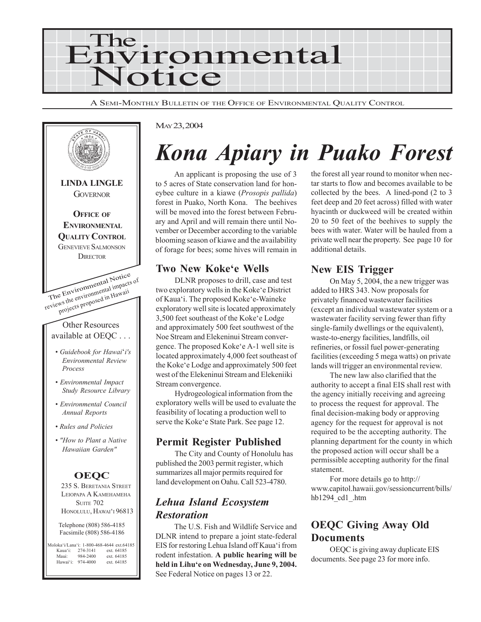

A SEMI-MONTHLY BULLETIN OF THE OFFICE OF ENVIRONMENTAL QUALITY CONTROL



#### MAY 23, 2004

# *Kona Apiary in Puako Forest*

An applicant is proposing the use of 3 to 5 acres of State conservation land for honeybee culture in a kiawe (*Prosopis pallida*) forest in Puako, North Kona. The beehives will be moved into the forest between February and April and will remain there until November or December according to the variable blooming season of kiawe and the availability of forage for bees; some hives will remain in

### **Two New Koke'e Wells**

DLNR proposes to drill, case and test two exploratory wells in the Koke'e District of Kaua'i. The proposed Koke'e-Waineke exploratory well site is located approximately 3,500 feet southeast of the Koke'e Lodge and approximately 500 feet southwest of the Noe Stream and Elekeninui Stream convergence. The proposed Koke'e A-1 well site is located approximately 4,000 feet southeast of the Koke'e Lodge and approximately 500 feet west of the Elekeninui Stream and Elekeniiki Stream convergence.

Hydrogeological information from the exploratory wells will be used to evaluate the feasibility of locating a production well to serve the Koke'e State Park. See page 12.

### **Permit Register Published**

The City and County of Honolulu has published the 2003 permit register, which summarizes all major permits required for land development on Oahu. Call 523-4780.

# *Lehua Island Ecosystem Restoration*

The U.S. Fish and Wildlife Service and DLNR intend to prepare a joint state-federal EIS for restoring Lehua Island off Kaua'i from rodent infestation. **A public hearing will be held in Lihu'e on Wednesday, June 9, 2004.** See Federal Notice on pages 13 or 22.

the forest all year round to monitor when nectar starts to flow and becomes available to be collected by the bees. A lined-pond (2 to 3 feet deep and 20 feet across) filled with water hyacinth or duckweed will be created within 20 to 50 feet of the beehives to supply the bees with water. Water will be hauled from a private well near the property. See page 10 for additional details.

### **New EIS Trigger**

On May 5, 2004, the a new trigger was added to HRS 343. Now proposals for privately financed wastewater facilities (except an individual wastewater system or a wastewater facility serving fewer than fifty single-family dwellings or the equivalent), waste-to-energy facilities, landfills, oil refineries, or fossil fuel power-generating facilities (exceeding 5 mega watts) on private lands will trigger an environmental review.

The new law also clarified that the authority to accept a final EIS shall rest with the agency initially receiving and agreeing to process the request for approval. The final decision-making body or approving agency for the request for approval is not required to be the accepting authority. The planning department for the county in which the proposed action will occur shall be a permissible accepting authority for the final statement.

For more details go to http:// www.capitol.hawaii.gov/sessioncurrent/bills/ hb1294\_cd1\_.htm

## **OEQC Giving Away Old Documents**

OEQC is giving away duplicate EIS documents. See page 23 for more info.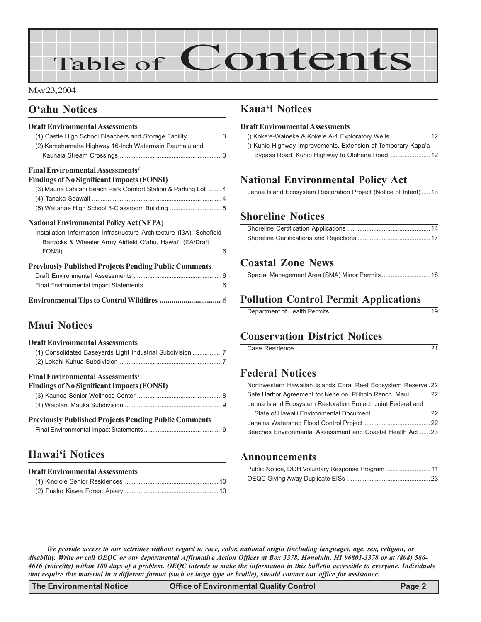# Table of Contents

### MAY 23, 2004

# **O'ahu Notices**

### **Draft Environmental Assessments** (1) Castle High School Bleachers and Storage Facility ...................3 (2) Kamehameha Highway 16-Inch Watermain Paumalu and Kaunala Stream Crossings ...........................................................3

#### **Final Environmental Assessments/**

| <b>Findings of No Significant Impacts (FONSI)</b>              |  |
|----------------------------------------------------------------|--|
| (3) Mauna Lahilahi Beach Park Comfort Station & Parking Lot  4 |  |

### **National Environmental Policy Act (NEPA)**

| Installation Information Infrastructure Architecture (I3A), Schofield |  |
|-----------------------------------------------------------------------|--|
| Barracks & Wheeler Army Airfield O'ahu, Hawai'i (EA/Draft)            |  |
|                                                                       |  |
| <b>Previously Published Projects Pending Public Comments</b>          |  |
|                                                                       |  |
|                                                                       |  |

# **Maui Notices**

| <b>Draft Environmental Assessments</b><br>(1) Consolidated Baseyards Light Industrial Subdivision |  |
|---------------------------------------------------------------------------------------------------|--|
| <b>Final Environmental Assessments/</b><br><b>Findings of No Significant Impacts (FONSI)</b>      |  |
|                                                                                                   |  |
|                                                                                                   |  |
| <b>Previously Published Projects Pending Public Comments</b>                                      |  |
|                                                                                                   |  |

## **Hawai'i Notices**

| <b>Draft Environmental Assessments</b> |  |
|----------------------------------------|--|
|                                        |  |
|                                        |  |

## **Kaua'i Notices**

#### **Draft Environmental Assessments**

() Koke'e-Waineke & Koke'e A-1 Exploratory Wells .......................12 () Kuhio Highway Improvements, Extension of Temporary Kapa'a Bypass Road, Kuhio Highway to Olohena Road .......................12

## **National Environmental Policy Act**

Lehua Island Ecosystem Restoration Project (Notice of Intent) .....13

### **Shoreline Notices**

## **Coastal Zone News**

# **Pollution Control Permit Applications**

|--|

## **Conservation District Notices**

|--|

## **Federal Notices**

| Northwestern Hawaiian Islands Coral Reef Ecosystem Reserve. 22 |  |
|----------------------------------------------------------------|--|
| Safe Harbor Agreement for Nene on Pi'iholo Ranch, Maui 22      |  |
| Lehua Island Ecosystem Restoration Project; Joint Federal and  |  |
|                                                                |  |
|                                                                |  |
| Beaches Environmental Assessment and Coastal Health Act 23     |  |
|                                                                |  |

### **Announcements**

*We provide access to our activities without regard to race, color, national origin (including language), age, sex, religion, or disability. Write or call OEQC or our departmental Affirmative Action Officer at Box 3378, Honolulu, HI 96801-3378 or at (808) 586- 4616 (voice/tty) within 180 days of a problem. OEQC intends to make the information in this bulletin accessible to everyone. Individuals that require this material in a different format (such as large type or braille), should contact our office for assistance.*

**The Environmental Notice Office of Environmental Quality Control Page 2**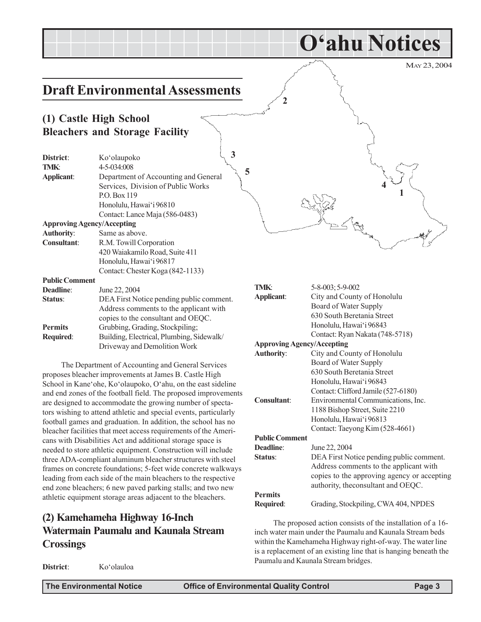MAY 23, 2004

**1**

**4**

**O'ahu Notices**

# **Draft Environmental Assessments**

### **(1) Castle High School Bleachers and Storage Facility**

| District:                         | Ko'olaupoko                              |
|-----------------------------------|------------------------------------------|
| <b>TMK:</b>                       | 4-5-034:008                              |
| Applicant:                        | Department of Accounting and General     |
|                                   | Services, Division of Public Works       |
|                                   | P.O. Box 119                             |
|                                   | Honolulu, Hawai'i 96810                  |
|                                   | Contact: Lance Maja (586-0483)           |
| <b>Approving Agency/Accepting</b> |                                          |
| <b>Authority:</b>                 | Same as above.                           |
| <b>Consultant:</b>                | R.M. Towill Corporation                  |
|                                   | 420 Waiakamilo Road, Suite 411           |
|                                   | Honolulu, Hawai'i 96817                  |
|                                   | Contact: Chester Koga (842-1133)         |
| <b>Public Comment</b>             |                                          |
| <b>Deadline:</b>                  | June 22, 2004                            |
| Status:                           | DEA First Notice pending public comment. |
|                                   | Address comments to the applicant with   |
|                                   |                                          |

|                  | Tradition commitments to the applicant with |
|------------------|---------------------------------------------|
|                  | copies to the consultant and OEQC.          |
| <b>Permits</b>   | Grubbing, Grading, Stockpiling;             |
| <b>Required:</b> | Building, Electrical, Plumbing, Sidewalk/   |
|                  | Driveway and Demolition Work                |

The Department of Accounting and General Services proposes bleacher improvements at James B. Castle High School in Kane'ohe, Ko'olaupoko, O'ahu, on the east sideline and end zones of the football field. The proposed improvements are designed to accommodate the growing number of spectators wishing to attend athletic and special events, particularly football games and graduation. In addition, the school has no bleacher facilities that meet access requirements of the Americans with Disabilities Act and additional storage space is needed to store athletic equipment. Construction will include three ADA-compliant aluminum bleacher structures with steel frames on concrete foundations; 5-feet wide concrete walkways leading from each side of the main bleachers to the respective end zone bleachers; 6 new paved parking stalls; and two new athletic equipment storage areas adjacent to the bleachers.

# **(2) Kamehameha Highway 16-Inch Watermain Paumalu and Kaunala Stream Crossings**

| Applicant:                        | City and County of Honolulu                 |
|-----------------------------------|---------------------------------------------|
|                                   | Board of Water Supply                       |
|                                   | 630 South Beretania Street                  |
|                                   | Honolulu, Hawai'i 96843                     |
|                                   | Contact: Ryan Nakata (748-5718)             |
| <b>Approving Agency/Accepting</b> |                                             |
| <b>Authority:</b>                 | City and County of Honolulu                 |
|                                   | Board of Water Supply                       |
|                                   | 630 South Beretania Street                  |
|                                   | Honolulu, Hawai'i 96843                     |
|                                   | Contact: Clifford Jamile (527-6180)         |
| Consultant:                       | Environmental Communications, Inc.          |
|                                   | 1188 Bishop Street, Suite 2210              |
|                                   | Honolulu, Hawai'i 96813                     |
|                                   | Contact: Taeyong Kim (528-4661)             |
| <b>Public Comment</b>             |                                             |
| Deadline:                         | June 22, 2004                               |
| Status:                           | DEA First Notice pending public comment.    |
|                                   | Address comments to the applicant with      |
|                                   | copies to the approving agency or accepting |
|                                   | authority, the consultant and OEQC.         |
| <b>Permits</b>                    |                                             |
| <b>Required:</b>                  | Grading, Stockpiling, CWA 404, NPDES        |
|                                   |                                             |
|                                   |                                             |

**TMK**: 5-8-003; 5-9-002

**5**

**2**

**3**

The proposed action consists of the installation of a 16 inch water main under the Paumalu and Kaunala Stream beds within the Kamehameha Highway right-of-way. The water line is a replacement of an existing line that is hanging beneath the Paumalu and Kaunala Stream bridges.

**District**: Ko'olauloa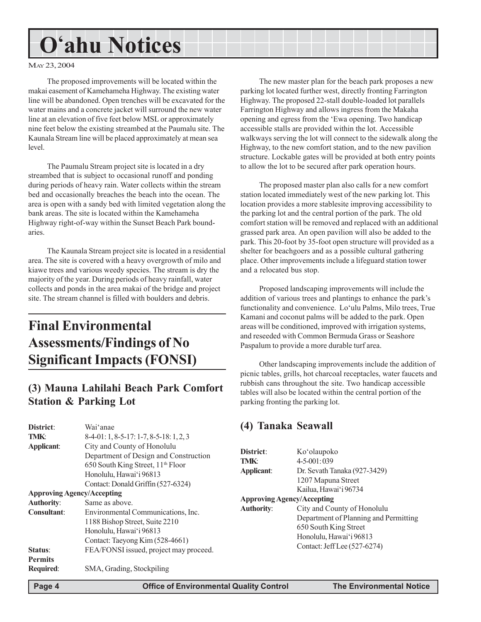# **O'ahu Notices**

### MAY 23, 2004

The proposed improvements will be located within the makai easement of Kamehameha Highway. The existing water line will be abandoned. Open trenches will be excavated for the water mains and a concrete jacket will surround the new water line at an elevation of five feet below MSL or approximately nine feet below the existing streambed at the Paumalu site. The Kaunala Stream line will be placed approximately at mean sea level.

The Paumalu Stream project site is located in a dry streambed that is subject to occasional runoff and ponding during periods of heavy rain. Water collects within the stream bed and occasionally breaches the beach into the ocean. The area is open with a sandy bed with limited vegetation along the bank areas. The site is located within the Kamehameha Highway right-of-way within the Sunset Beach Park boundaries.

The Kaunala Stream project site is located in a residential area. The site is covered with a heavy overgrowth of milo and kiawe trees and various weedy species. The stream is dry the majority of the year. During periods of heavy rainfall, water collects and ponds in the area makai of the bridge and project site. The stream channel is filled with boulders and debris.

# **Final Environmental Assessments/Findings of No Significant Impacts (FONSI)**

# **(3) Mauna Lahilahi Beach Park Comfort Station & Parking Lot**

| District:<br>Ko'olaupoko<br>TMK:<br>$4 - 5 - 001:039$                                                                                                                                                                                                                                                           |
|-----------------------------------------------------------------------------------------------------------------------------------------------------------------------------------------------------------------------------------------------------------------------------------------------------------------|
|                                                                                                                                                                                                                                                                                                                 |
| Dr. Sevath Tanaka (927-3429)<br>Applicant:<br>1207 Mapuna Street<br>Kailua, Hawai'i 96734<br><b>Approving Agency/Accepting</b><br><b>Authority:</b><br>City and County of Honolulu<br>Department of Planning and Permitting<br>650 South King Street<br>Honolulu, Hawai'i 96813<br>Contact: Jeff Lee (527-6274) |
|                                                                                                                                                                                                                                                                                                                 |

The new master plan for the beach park proposes a new parking lot located further west, directly fronting Farrington Highway. The proposed 22-stall double-loaded lot parallels Farrington Highway and allows ingress from the Makaha opening and egress from the 'Ewa opening. Two handicap accessible stalls are provided within the lot. Accessible walkways serving the lot will connect to the sidewalk along the Highway, to the new comfort station, and to the new pavilion structure. Lockable gates will be provided at both entry points to allow the lot to be secured after park operation hours.

The proposed master plan also calls for a new comfort station located immediately west of the new parking lot. This location provides a more stablesite improving accessibility to the parking lot and the central portion of the park. The old comfort station will be removed and replaced with an additional grassed park area. An open pavilion will also be added to the park. This 20-foot by 35-foot open structure will provided as a shelter for beachgoers and as a possible cultural gathering place. Other improvements include a lifeguard station tower and a relocated bus stop.

Proposed landscaping improvements will include the addition of various trees and plantings to enhance the park's functionality and convenience. Lo'ulu Palms, Milo trees, True Kamani and coconut palms will be added to the park. Open areas will be conditioned, improved with irrigation systems, and reseeded with Common Bermuda Grass or Seashore Paspalum to provide a more durable turf area.

Other landscaping improvements include the addition of picnic tables, grills, hot charcoal receptacles, water faucets and rubbish cans throughout the site. Two handicap accessible tables will also be located within the central portion of the parking fronting the parking lot.

## **(4) Tanaka Seawall**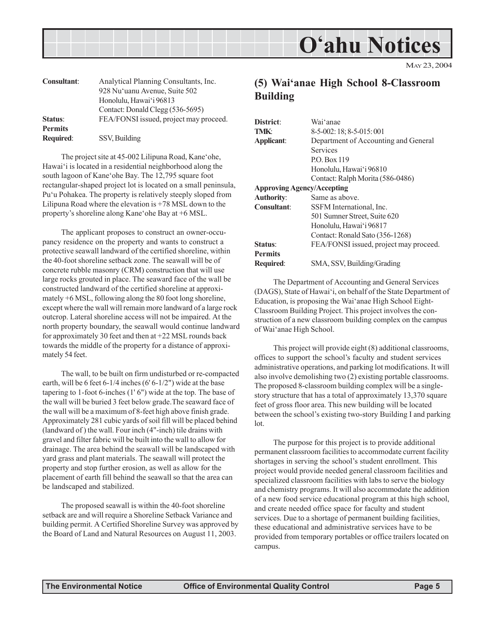# **O'ahu Notices**

MAY 23, 2004

| Consultant:    | Analytical Planning Consultants, Inc.  |
|----------------|----------------------------------------|
|                | 928 Nu'uanu Avenue, Suite 502          |
|                | Honolulu, Hawai'i 96813                |
|                | Contact: Donald Clegg (536-5695)       |
| Status:        | FEA/FONSI issued, project may proceed. |
| <b>Permits</b> |                                        |
| Required:      | SSV, Building                          |

The project site at 45-002 Lilipuna Road, Kane'ohe, Hawai'i is located in a residential neighborhood along the south lagoon of Kane'ohe Bay. The 12,795 square foot rectangular-shaped project lot is located on a small peninsula, Pu'u Pohakea. The property is relatively steeply sloped from Lilipuna Road where the elevation is +78 MSL down to the property's shoreline along Kane'ohe Bay at +6 MSL.

The applicant proposes to construct an owner-occupancy residence on the property and wants to construct a protective seawall landward of the certified shoreline, within the 40-foot shoreline setback zone. The seawall will be of concrete rubble masonry (CRM) construction that will use large rocks grouted in place. The seaward face of the wall be constructed landward of the certified shoreline at approximately +6 MSL, following along the 80 foot long shoreline, except where the wall will remain more landward of a large rock outcrop. Lateral shoreline access will not be impaired. At the north property boundary, the seawall would continue landward for approximately 30 feet and then at +22 MSL rounds back towards the middle of the property for a distance of approximately 54 feet.

The wall, to be built on firm undisturbed or re-compacted earth, will be 6 feet 6-1/4 inches (6' 6-1/2") wide at the base tapering to 1-foot 6-inches (1' 6") wide at the top. The base of the wall will be buried 3 feet below grade.The seaward face of the wall will be a maximum of 8-feet high above finish grade. Approximately 281 cubic yards of soil fill will be placed behind (landward of ) the wall. Four inch (4"-inch) tile drains with gravel and filter fabric will be built into the wall to allow for drainage. The area behind the seawall will be landscaped with yard grass and plant materials. The seawall will protect the property and stop further erosion, as well as allow for the placement of earth fill behind the seawall so that the area can be landscaped and stabilized.

The proposed seawall is within the 40-foot shoreline setback are and will require a Shoreline Setback Variance and building permit. A Certified Shoreline Survey was approved by the Board of Land and Natural Resources on August 11, 2003.

## **(5) Wai'anae High School 8-Classroom Building**

| District:                         | Wai'anae                               |
|-----------------------------------|----------------------------------------|
| <b>TMK:</b>                       | 8-5-002: 18; 8-5-015: 001              |
| Applicant:                        | Department of Accounting and General   |
|                                   | Services                               |
|                                   | P.O. Box 119                           |
|                                   | Honolulu, Hawai'i 96810                |
|                                   | Contact: Ralph Morita (586-0486)       |
| <b>Approving Agency/Accepting</b> |                                        |
| <b>Authority:</b>                 | Same as above.                         |
| Consultant:                       | SSFM International, Inc.               |
|                                   | 501 Sumner Street, Suite 620           |
|                                   | Honolulu, Hawai'i 96817                |
|                                   | Contact: Ronald Sato (356-1268)        |
| Status:                           | FEA/FONSI issued, project may proceed. |
| <b>Permits</b>                    |                                        |
| <b>Required:</b>                  | SMA, SSV, Building/Grading             |

The Department of Accounting and General Services (DAGS), State of Hawai'i, on behalf of the State Department of Education, is proposing the Wai'anae High School Eight-Classroom Building Project. This project involves the construction of a new classroom building complex on the campus of Wai'anae High School.

This project will provide eight (8) additional classrooms, offices to support the school's faculty and student services administrative operations, and parking lot modifications. It will also involve demolishing two (2) existing portable classrooms. The proposed 8-classroom building complex will be a singlestory structure that has a total of approximately 13,370 square feet of gross floor area. This new building will be located between the school's existing two-story Building I and parking lot.

The purpose for this project is to provide additional permanent classroom facilities to accommodate current facility shortages in serving the school's student enrollment. This project would provide needed general classroom facilities and specialized classroom facilities with labs to serve the biology and chemistry programs. It will also accommodate the addition of a new food service educational program at this high school, and create needed office space for faculty and student services. Due to a shortage of permanent building facilities, these educational and administrative services have to be provided from temporary portables or office trailers located on campus.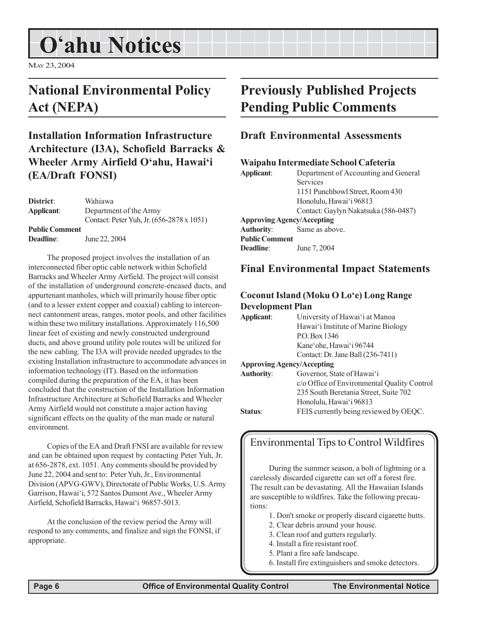# **O'ahu Notices**

MAY 23, 2004

# **National Environmental Policy Act (NEPA)**

# **Installation Information Infrastructure Architecture (I3A), Schofield Barracks & Wheeler Army Airfield O'ahu, Hawai'i (EA/Draft FONSI)**

| District:<br>Applicant:                   | Wahiawa<br>Department of the Army<br>Contact: Peter Yuh, Jr. (656-2878 x 1051) |
|-------------------------------------------|--------------------------------------------------------------------------------|
| <b>Public Comment</b><br><b>Deadline:</b> | June 22, 2004                                                                  |

The proposed project involves the installation of an interconnected fiber optic cable network within Schofield Barracks and Wheeler Army Airfield. The project will consist of the installation of underground concrete-encased ducts, and appurtenant manholes, which will primarily house fiber optic (and to a lesser extent copper and coaxial) cabling to interconnect cantonment areas, ranges, motor pools, and other facilities within these two military installations. Approximately 116,500 linear feet of existing and newly constructed underground ducts, and above ground utility pole routes will be utilized for the new cabling. The I3A will provide needed upgrades to the existing Installation infrastructure to accommodate advances in information technology (IT). Based on the information compiled during the preparation of the EA, it has been concluded that the construction of the Installation Information Infrastructure Architecture at Schofield Barracks and Wheeler Army Airfield would not constitute a major action having significant effects on the quality of the man made or natural environment.

Copies of the EA and Draft FNSI are available for review and can be obtained upon request by contacting Peter Yuh, Jr. at 656-2878, ext. 1051. Any comments should be provided by June 22, 2004 and sent to: Peter Yuh, Jr., Environmental Division (APVG-GWV), Directorate of Public Works, U.S. Army Garrison, Hawai'i, 572 Santos Dumont Ave., Wheeler Army Airfield, Schofield Barracks, Hawai'i 96857-5013.

At the conclusion of the review period the Army will respond to any comments, and finalize and sign the FONSI, if appropriate.

# **Previously Published Projects Pending Public Comments**

## **Draft Environmental Assessments**

### **Waipahu Intermediate School Cafeteria**

| Applicant:                        | Department of Accounting and General |
|-----------------------------------|--------------------------------------|
|                                   | <b>Services</b>                      |
|                                   | 1151 Punchbowl Street, Room 430      |
|                                   | Honolulu, Hawai'i 96813              |
|                                   | Contact: Gaylyn Nakatsuka (586-0487) |
| <b>Approving Agency/Accepting</b> |                                      |
| <b>Authority:</b>                 | Same as above.                       |
| <b>Public Comment</b>             |                                      |
| <b>Deadline:</b>                  | June 7, 2004                         |
|                                   |                                      |

### **Final Environmental Impact Statements**

### **Coconut Island (Moku O Lo'e) Long Range Development Plan**

| Applicant:                        | University of Hawai'i at Manoa              |
|-----------------------------------|---------------------------------------------|
|                                   | Hawai'i Institute of Marine Biology         |
|                                   | P.O. Box 1346                               |
|                                   | Kane'ohe, Hawai'i 96744                     |
|                                   | Contact: Dr. Jane Ball (236-7411)           |
| <b>Approving Agency/Accepting</b> |                                             |
| <b>Authority:</b>                 | Governor, State of Hawai'i                  |
|                                   | c/o Office of Environmental Quality Control |
|                                   | 235 South Beretania Street, Suite 702       |
|                                   | Honolulu, Hawai'i 96813                     |
| Status:                           | FEIS currently being reviewed by OEQC.      |

# Environmental Tips to Control Wildfires

During the summer season, a bolt of lightning or a carelessly discarded cigarette can set off a forest fire. The result can be devastating. All the Hawaiian Islands are susceptible to wildfires. Take the following precautions:

- 1. Don't smoke or properly discard cigarette butts.
- 2. Clear debris around your house.
- 3. Clean roof and gutters regularly.
- 4. Install a fire resistant roof.
- 5. Plant a fire safe landscape.
- 6. Install fire extinguishers and smoke detectors.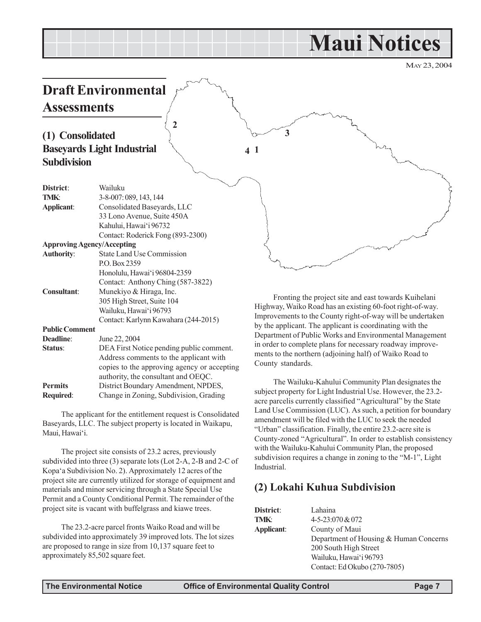# **Maui Notices**

MAY 23, 2004

# **Draft Environmental Assessments**

## **(1) Consolidated Baseyards Light Industrial Subdivision**

| District:                         | Wailuku                                     |  |
|-----------------------------------|---------------------------------------------|--|
| TMK:                              | 3-8-007:089, 143, 144                       |  |
| Applicant:                        | Consolidated Baseyards, LLC                 |  |
|                                   | 33 Lono Avenue, Suite 450A                  |  |
|                                   | Kahului, Hawai'i 96732                      |  |
|                                   | Contact: Roderick Fong (893-2300)           |  |
| <b>Approving Agency/Accepting</b> |                                             |  |
| <b>Authority:</b>                 | <b>State Land Use Commission</b>            |  |
|                                   | P.O. Box 2359                               |  |
|                                   | Honolulu, Hawai'i 96804-2359                |  |
|                                   | Contact: Anthony Ching (587-3822)           |  |
| <b>Consultant:</b>                | Munekiyo & Hiraga, Inc.                     |  |
|                                   | 305 High Street, Suite 104                  |  |
|                                   | Wailuku, Hawai'i 96793                      |  |
|                                   | Contact: Karlynn Kawahara (244-2015)        |  |
| <b>Public Comment</b>             |                                             |  |
| Deadline:                         | June 22, 2004                               |  |
| Status:                           | DEA First Notice pending public comment.    |  |
|                                   | Address comments to the applicant with      |  |
|                                   | copies to the approving agency or accepting |  |
|                                   | authority, the consultant and OEQC.         |  |
| <b>Permits</b>                    | District Boundary Amendment, NPDES,         |  |
| <b>Required:</b>                  | Change in Zoning, Subdivision, Grading      |  |
|                                   |                                             |  |

**2**

The applicant for the entitlement request is Consolidated Baseyards, LLC. The subject property is located in Waikapu, Maui, Hawai'i.

The project site consists of 23.2 acres, previously subdivided into three (3) separate lots (Lot 2-A, 2-B and 2-C of Kopa'a Subdivision No. 2). Approximately 12 acres of the project site are currently utilized for storage of equipment and materials and minor servicing through a State Special Use Permit and a County Conditional Permit. The remainder of the project site is vacant with buffelgrass and kiawe trees.

The 23.2-acre parcel fronts Waiko Road and will be subdivided into approximately 39 improved lots. The lot sizes are proposed to range in size from 10,137 square feet to approximately 85,502 square feet.

Fronting the project site and east towards Kuihelani Highway, Waiko Road has an existing 60-foot right-of-way. Improvements to the County right-of-way will be undertaken by the applicant. The applicant is coordinating with the Department of Public Works and Environmental Management in order to complete plans for necessary roadway improvements to the northern (adjoining half) of Waiko Road to County standards.

**3**

**4 1**

The Wailuku-Kahului Community Plan designates the subject property for Light Industrial Use. However, the 23.2 acre parcelis currently classified "Agricultural" by the State Land Use Commission (LUC). As such, a petition for boundary amendment will be filed with the LUC to seek the needed "Urban" classification. Finally, the entire 23.2-acre site is County-zoned "Agricultural". In order to establish consistency with the Wailuku-Kahului Community Plan, the proposed subdivision requires a change in zoning to the "M-1", Light Industrial.

# **(2) Lokahi Kuhua Subdivision**

| District:  | Lahaina                                |
|------------|----------------------------------------|
| TMK:       | $4 - 5 - 23 \cdot 070 \& 072$          |
| Applicant: | County of Maui                         |
|            | Department of Housing & Human Concerns |
|            | 200 South High Street                  |
|            | Wailuku, Hawai'i 96793                 |
|            | Contact: Ed Okubo (270-7805)           |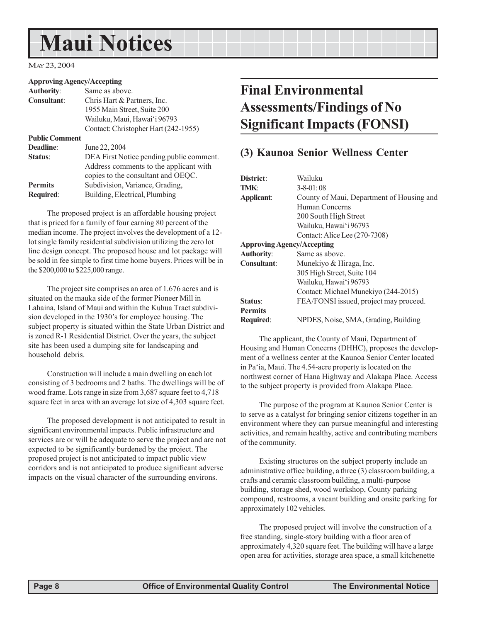# **Maui Notices**

MAY 23, 2004

#### **Approving Agency/Accepting**

| <b>Authority:</b>     | Same as above.                           |
|-----------------------|------------------------------------------|
| <b>Consultant:</b>    | Chris Hart & Partners, Inc.              |
|                       | 1955 Main Street, Suite 200              |
|                       | Wailuku, Maui, Hawai'i 96793             |
|                       | Contact: Christopher Hart (242-1955)     |
| <b>Public Comment</b> |                                          |
| <b>Deadline:</b>      | June 22, 2004                            |
| Status:               | DEA First Notice pending public comment. |
|                       | Address comments to the applicant with   |
|                       | copies to the consultant and OEQC.       |
| <b>Permits</b>        | Subdivision, Variance, Grading,          |
| <b>Required:</b>      | Building, Electrical, Plumbing           |

The proposed project is an affordable housing project that is priced for a family of four earning 80 percent of the median income. The project involves the development of a 12 lot single family residential subdivision utilizing the zero lot line design concept. The proposed house and lot package will be sold in fee simple to first time home buyers. Prices will be in the \$200,000 to \$225,000 range.

The project site comprises an area of 1.676 acres and is situated on the mauka side of the former Pioneer Mill in Lahaina, Island of Maui and within the Kuhua Tract subdivision developed in the 1930's for employee housing. The subject property is situated within the State Urban District and is zoned R-1 Residential District. Over the years, the subject site has been used a dumping site for landscaping and household debris.

Construction will include a main dwelling on each lot consisting of 3 bedrooms and 2 baths. The dwellings will be of wood frame. Lots range in size from 3,687 square feet to 4,718 square feet in area with an average lot size of 4,303 square feet.

The proposed development is not anticipated to result in significant environmental impacts. Public infrastructure and services are or will be adequate to serve the project and are not expected to be significantly burdened by the project. The proposed project is not anticipated to impact public view corridors and is not anticipated to produce significant adverse impacts on the visual character of the surrounding environs.

# **Final Environmental Assessments/Findings of No Significant Impacts (FONSI)**

### **(3) Kaunoa Senior Wellness Center**

| District:         | Wailuku                                   |  |  |  |
|-------------------|-------------------------------------------|--|--|--|
| <b>TMK·</b>       | $3 - 8 - 01 : 08$                         |  |  |  |
| Applicant:        | County of Maui, Department of Housing and |  |  |  |
|                   | Human Concerns                            |  |  |  |
|                   | 200 South High Street                     |  |  |  |
|                   | Wailuku, Hawai'i 96793                    |  |  |  |
|                   | Contact: Alice Lee (270-7308)             |  |  |  |
|                   | <b>Approving Agency/Accepting</b>         |  |  |  |
| <b>Authority:</b> | Same as above.                            |  |  |  |
| Consultant:       | Munekiyo & Hiraga, Inc.                   |  |  |  |
|                   | 305 High Street, Suite 104                |  |  |  |
|                   | Wailuku, Hawai'i 96793                    |  |  |  |
|                   | Contact: Michael Munekiyo (244-2015)      |  |  |  |
| Status:           | FEA/FONSI issued, project may proceed.    |  |  |  |
| <b>Permits</b>    |                                           |  |  |  |
| Required:         | NPDES, Noise, SMA, Grading, Building      |  |  |  |
|                   |                                           |  |  |  |

The applicant, the County of Maui, Department of Housing and Human Concerns (DHHC), proposes the development of a wellness center at the Kaunoa Senior Center located in Pa'ia, Maui. The 4.54-acre property is located on the northwest corner of Hana Highway and Alakapa Place. Access to the subject property is provided from Alakapa Place.

The purpose of the program at Kaunoa Senior Center is to serve as a catalyst for bringing senior citizens together in an environment where they can pursue meaningful and interesting activities, and remain healthy, active and contributing members of the community.

Existing structures on the subject property include an administrative office building, a three (3) classroom building, a crafts and ceramic classroom building, a multi-purpose building, storage shed, wood workshop, County parking compound, restrooms, a vacant building and onsite parking for approximately 102 vehicles.

The proposed project will involve the construction of a free standing, single-story building with a floor area of approximately 4,320 square feet. The building will have a large open area for activities, storage area space, a small kitchenette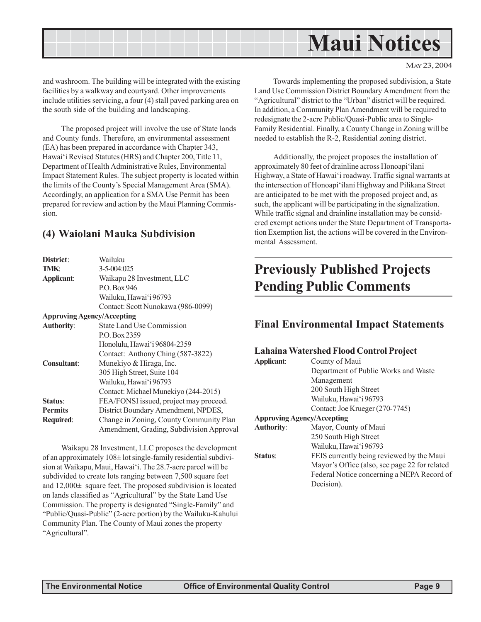

MAY 23, 2004

and washroom. The building will be integrated with the existing facilities by a walkway and courtyard. Other improvements include utilities servicing, a four (4) stall paved parking area on the south side of the building and landscaping.

The proposed project will involve the use of State lands and County funds. Therefore, an environmental assessment (EA) has been prepared in accordance with Chapter 343, Hawai'i Revised Statutes (HRS) and Chapter 200, Title 11, Department of Health Administrative Rules, Environmental Impact Statement Rules. The subject property is located within the limits of the County's Special Management Area (SMA). Accordingly, an application for a SMA Use Permit has been prepared for review and action by the Maui Planning Commission.

### **(4) Waiolani Mauka Subdivision**

| District:          | Wailuku                                  |
|--------------------|------------------------------------------|
| <b>TMK:</b>        | 3-5-004:025                              |
| Applicant:         | Waikapu 28 Investment, LLC               |
|                    | P.O. Box 946                             |
|                    | Wailuku, Hawai'i 96793                   |
|                    | Contact: Scott Nunokawa (986-0099)       |
|                    | <b>Approving Agency/Accepting</b>        |
| <b>Authority:</b>  | <b>State Land Use Commission</b>         |
|                    | P.O. Box 2359                            |
|                    | Honolulu, Hawai'i 96804-2359             |
|                    | Contact: Anthony Ching (587-3822)        |
| <b>Consultant:</b> | Munekiyo & Hiraga, Inc.                  |
|                    | 305 High Street, Suite 104               |
|                    | Wailuku, Hawai'i 96793                   |
|                    | Contact: Michael Munekiyo (244-2015)     |
| Status:            | FEA/FONSI issued, project may proceed.   |
| <b>Permits</b>     | District Boundary Amendment, NPDES,      |
| <b>Required:</b>   | Change in Zoning, County Community Plan  |
|                    | Amendment, Grading, Subdivision Approval |

Waikapu 28 Investment, LLC proposes the development of an approximately 108± lot single-family residential subdivision at Waikapu, Maui, Hawai'i. The 28.7-acre parcel will be subdivided to create lots ranging between 7,500 square feet and 12,000± square feet. The proposed subdivision is located on lands classified as "Agricultural" by the State Land Use Commission. The property is designated "Single-Family" and "Public/Quasi-Public" (2-acre portion) by the Wailuku-Kahului Community Plan. The County of Maui zones the property "Agricultural".

Towards implementing the proposed subdivision, a State Land Use Commission District Boundary Amendment from the "Agricultural" district to the "Urban" district will be required. In addition, a Community Plan Amendment will be required to redesignate the 2-acre Public/Quasi-Public area to Single-Family Residential. Finally, a County Change in Zoning will be needed to establish the R-2, Residential zoning district.

Additionally, the project proposes the installation of approximately 80 feet of drainline across Honoapi'ilani Highway, a State of Hawai'i roadway. Traffic signal warrants at the intersection of Honoapi'ilani Highway and Pilikana Street are anticipated to be met with the proposed project and, as such, the applicant will be participating in the signalization. While traffic signal and drainline installation may be considered exempt actions under the State Department of Transportation Exemption list, the actions will be covered in the Environmental Assessment.

# **Previously Published Projects Pending Public Comments**

## **Final Environmental Impact Statements**

### **Lahaina Watershed Flood Control Project**

| Applicant:        | County of Maui                                |
|-------------------|-----------------------------------------------|
|                   | Department of Public Works and Waste          |
|                   | Management                                    |
|                   | 200 South High Street                         |
|                   | Wailuku, Hawai'i 96793                        |
|                   | Contact: Joe Krueger (270-7745)               |
|                   | <b>Approving Agency/Accepting</b>             |
| <b>Authority:</b> | Mayor, County of Maui                         |
|                   | 250 South High Street                         |
|                   | Wailuku, Hawai'i 96793                        |
| Status:           | FEIS currently being reviewed by the Maui     |
|                   | Mayor's Office (also, see page 22 for related |
|                   | Federal Notice concerning a NEPA Record of    |
|                   | Decision).                                    |
|                   |                                               |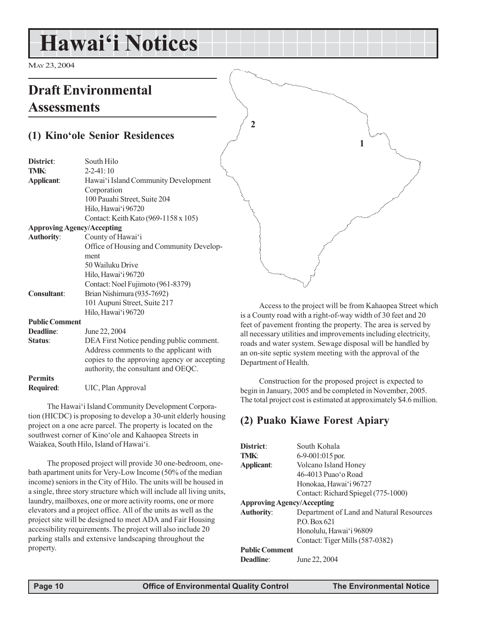# **Hawai'i Notices**

MAY 23, 2004

# **Draft Environmental Assessments**

# **(1) Kino'ole Senior Residences**

| South Hilo                                  |
|---------------------------------------------|
| $2 - 2 - 41 : 10$                           |
| Hawai'i Island Community Development        |
| Corporation                                 |
| 100 Pauahi Street, Suite 204                |
| Hilo, Hawai'i 96720                         |
| Contact: Keith Kato (969-1158 x 105)        |
| <b>Approving Agency/Accepting</b>           |
| County of Hawai'i                           |
| Office of Housing and Community Develop-    |
| ment                                        |
| 50 Wailuku Drive                            |
| Hilo, Hawai'i 96720                         |
| Contact: Noel Fujimoto (961-8379)           |
| Brian Nishimura (935-7692)                  |
| 101 Aupuni Street, Suite 217                |
| Hilo, Hawai'i 96720                         |
| <b>Public Comment</b>                       |
| June 22, 2004                               |
| DEA First Notice pending public comment.    |
| Address comments to the applicant with      |
| copies to the approving agency or accepting |
| authority, the consultant and OEQC.         |
|                                             |
| UIC, Plan Approval                          |
|                                             |

The Hawai'i Island Community Development Corporation (HICDC) is proposing to develop a 30-unit elderly housing project on a one acre parcel. The property is located on the southwest corner of Kino'ole and Kahaopea Streets in Waiakea, South Hilo, Island of Hawai'i.

The proposed project will provide 30 one-bedroom, onebath apartment units for Very-Low Income (50% of the median income) seniors in the City of Hilo. The units will be housed in a single, three story structure which will include all living units, laundry, mailboxes, one or more activity rooms, one or more elevators and a project office. All of the units as well as the project site will be designed to meet ADA and Fair Housing accessibility requirements. The project will also include 20 parking stalls and extensive landscaping throughout the property.

**1 2**

Access to the project will be from Kahaopea Street which is a County road with a right-of-way width of 30 feet and 20 feet of pavement fronting the property. The area is served by all necessary utilities and improvements including electricity, roads and water system. Sewage disposal will be handled by an on-site septic system meeting with the approval of the Department of Health.

Construction for the proposed project is expected to begin in January, 2005 and be completed in November, 2005. The total project cost is estimated at approximately \$4.6 million.

## **(2) Puako Kiawe Forest Apiary**

| District:                         | South Kohala                             |  |  |  |
|-----------------------------------|------------------------------------------|--|--|--|
| <b>TMK:</b>                       | $6-9-001:015$ por.                       |  |  |  |
| Applicant:                        | Volcano Island Honey                     |  |  |  |
|                                   | 46-4013 Puao'o Road                      |  |  |  |
|                                   | Honokaa, Hawai'i 96727                   |  |  |  |
|                                   | Contact: Richard Spiegel (775-1000)      |  |  |  |
| <b>Approving Agency/Accepting</b> |                                          |  |  |  |
| <b>Authority:</b>                 | Department of Land and Natural Resources |  |  |  |
|                                   | $PQ$ . Box 621                           |  |  |  |
|                                   | Honolulu, Hawai'i 96809                  |  |  |  |
|                                   | Contact: Tiger Mills (587-0382)          |  |  |  |
| <b>Public Comment</b>             |                                          |  |  |  |
| Deadline:                         | June 22, 2004                            |  |  |  |
|                                   |                                          |  |  |  |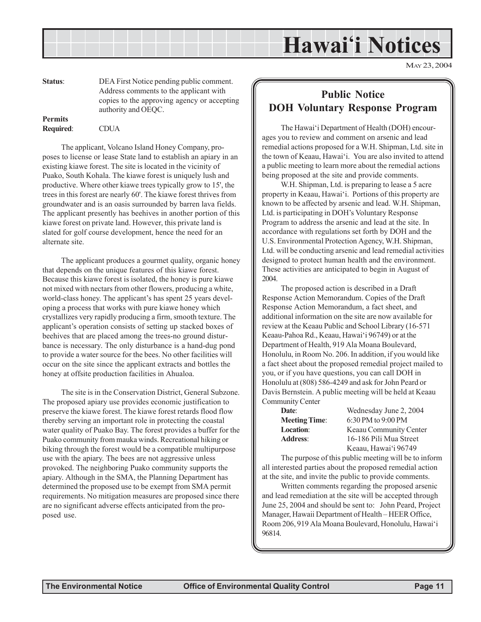# **Hawai'i Notices**

MAY 23, 2004

**Status**: DEA First Notice pending public comment. Address comments to the applicant with copies to the approving agency or accepting authority and OEQC. **Permits**

**Required**: CDUA

The applicant, Volcano Island Honey Company, proposes to license or lease State land to establish an apiary in an existing kiawe forest. The site is located in the vicinity of Puako, South Kohala. The kiawe forest is uniquely lush and productive. Where other kiawe trees typically grow to 15', the trees in this forest are nearly 60'. The kiawe forest thrives from groundwater and is an oasis surrounded by barren lava fields. The applicant presently has beehives in another portion of this kiawe forest on private land. However, this private land is slated for golf course development, hence the need for an alternate site.

The applicant produces a gourmet quality, organic honey that depends on the unique features of this kiawe forest. Because this kiawe forest is isolated, the honey is pure kiawe not mixed with nectars from other flowers, producing a white, world-class honey. The applicant's has spent 25 years developing a process that works with pure kiawe honey which crystallizes very rapidly producing a firm, smooth texture. The applicant's operation consists of setting up stacked boxes of beehives that are placed among the trees-no ground disturbance is necessary. The only disturbance is a hand-dug pond to provide a water source for the bees. No other facilities will occur on the site since the applicant extracts and bottles the honey at offsite production facilities in Ahualoa.

The site is in the Conservation District, General Subzone. The proposed apiary use provides economic justification to preserve the kiawe forest. The kiawe forest retards flood flow thereby serving an important role in protecting the coastal water quality of Puako Bay. The forest provides a buffer for the Puako community from mauka winds. Recreational hiking or biking through the forest would be a compatible multipurpose use with the apiary. The bees are not aggressive unless provoked. The neighboring Puako community supports the apiary. Although in the SMA, the Planning Department has determined the proposed use to be exempt from SMA permit requirements. No mitigation measures are proposed since there are no significant adverse effects anticipated from the proposed use.

# **Public Notice DOH Voluntary Response Program**

The Hawai'i Department of Health (DOH) encourages you to review and comment on arsenic and lead remedial actions proposed for a W.H. Shipman, Ltd. site in the town of Keaau, Hawai'i. You are also invited to attend a public meeting to learn more about the remedial actions being proposed at the site and provide comments.

W.H. Shipman, Ltd. is preparing to lease a 5 acre property in Keaau, Hawai'i. Portions of this property are known to be affected by arsenic and lead. W.H. Shipman, Ltd. is participating in DOH's Voluntary Response Program to address the arsenic and lead at the site. In accordance with regulations set forth by DOH and the U.S. Environmental Protection Agency, W.H. Shipman, Ltd. will be conducting arsenic and lead remedial activities designed to protect human health and the environment. These activities are anticipated to begin in August of 2004.

The proposed action is described in a Draft Response Action Memorandum. Copies of the Draft Response Action Memorandum, a fact sheet, and additional information on the site are now available for review at the Keaau Public and School Library (16-571 Keaau-Pahoa Rd., Keaau, Hawai'i 96749) or at the Department of Health, 919 Ala Moana Boulevard, Honolulu, in Room No. 206. In addition, if you would like a fact sheet about the proposed remedial project mailed to you, or if you have questions, you can call DOH in Honolulu at (808) 586-4249 and ask for John Peard or Davis Bernstein. A public meeting will be held at Keaau Community Center

| Date:                |
|----------------------|
| <b>Meeting Time:</b> |
| Location:            |
| <b>Address:</b>      |
|                      |

Wednesday June 2, 2004 6:30 PM to 9:00 PM **Location**: Keaau Community Center **Address**: 16-186 Pili Mua Street Keaau, Hawai'i 96749

The purpose of this public meeting will be to inform all interested parties about the proposed remedial action at the site, and invite the public to provide comments.

Written comments regarding the proposed arsenic and lead remediation at the site will be accepted through June 25, 2004 and should be sent to: John Peard, Project Manager, Hawaii Department of Health – HEER Office, Room 206, 919 Ala Moana Boulevard, Honolulu, Hawai'i 96814.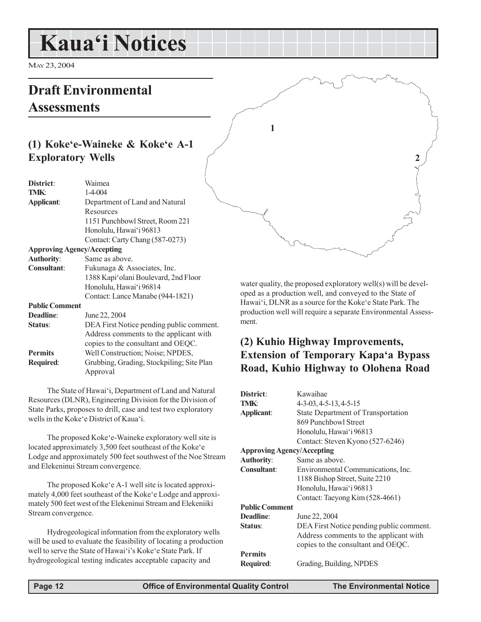# **Kaua'i Notices**

MAY 23, 2004

# **Draft Environmental Assessments**

## **(1) Koke'e-Waineke & Koke'e A-1 Exploratory Wells**

| District:                         | Waimea                                    |
|-----------------------------------|-------------------------------------------|
| <b>TMK:</b>                       | 1-4-004                                   |
| Applicant:                        | Department of Land and Natural            |
|                                   | Resources                                 |
|                                   | 1151 Punchbowl Street, Room 221           |
|                                   | Honolulu, Hawai'i 96813                   |
|                                   | Contact: Carty Chang (587-0273)           |
| <b>Approving Agency/Accepting</b> |                                           |
| <b>Authority:</b>                 | Same as above.                            |
| <b>Consultant:</b>                | Fukunaga & Associates, Inc.               |
|                                   | 1388 Kapi'olani Boulevard, 2nd Floor      |
|                                   | Honolulu, Hawai'i 96814                   |
|                                   | Contact: Lance Manabe (944-1821)          |
| <b>Public Comment</b>             |                                           |
| <b>Deadline:</b>                  | June 22, 2004                             |
| Status:                           | DEA First Notice pending public comment.  |
|                                   | Address comments to the applicant with    |
|                                   | copies to the consultant and OEQC.        |
| <b>Permits</b>                    | Well Construction; Noise; NPDES,          |
| Required:                         | Grubbing, Grading, Stockpiling; Site Plan |
|                                   | Approval                                  |

The State of Hawai'i, Department of Land and Natural Resources (DLNR), Engineering Division for the Division of State Parks, proposes to drill, case and test two exploratory wells in the Koke'e District of Kaua'i.

The proposed Koke'e-Waineke exploratory well site is located approximately 3,500 feet southeast of the Koke'e Lodge and approximately 500 feet southwest of the Noe Stream and Elekeninui Stream convergence.

The proposed Koke'e A-1 well site is located approximately 4,000 feet southeast of the Koke'e Lodge and approximately 500 feet west of the Elekeninui Stream and Elekeniiki Stream convergence.

Hydrogeological information from the exploratory wells will be used to evaluate the feasibility of locating a production well to serve the State of Hawai'i's Koke'e State Park. If hydrogeological testing indicates acceptable capacity and

water quality, the proposed exploratory well(s) will be developed as a production well, and conveyed to the State of Hawai'i, DLNR as a source for the Koke'e State Park. The production well will require a separate Environmental Assessment.

**2**

**1**

# **(2) Kuhio Highway Improvements, Extension of Temporary Kapa'a Bypass Road, Kuhio Highway to Olohena Road**

| District:                                               | Kawaihae                                 |
|---------------------------------------------------------|------------------------------------------|
| <b>TMK:</b>                                             | $4-3-03$ , $4-5-13$ , $4-5-15$           |
| <b>State Department of Transportation</b><br>Applicant: |                                          |
|                                                         | 869 Punchbowl Street                     |
|                                                         | Honolulu, Hawai'i 96813                  |
|                                                         | Contact: Steven Kyono (527-6246)         |
| <b>Approving Agency/Accepting</b>                       |                                          |
| <b>Authority:</b>                                       | Same as above.                           |
| Consultant:                                             | Environmental Communications, Inc.       |
|                                                         | 1188 Bishop Street, Suite 2210           |
|                                                         | Honolulu, Hawai'i 96813                  |
|                                                         | Contact: Taeyong Kim (528-4661)          |
| <b>Public Comment</b>                                   |                                          |
| <b>Deadline:</b>                                        | June 22, 2004                            |
| Status:                                                 | DEA First Notice pending public comment. |
|                                                         | Address comments to the applicant with   |
|                                                         | copies to the consultant and OEQC.       |
| <b>Permits</b>                                          |                                          |
| <b>Required:</b>                                        | Grading, Building, NPDES                 |
|                                                         |                                          |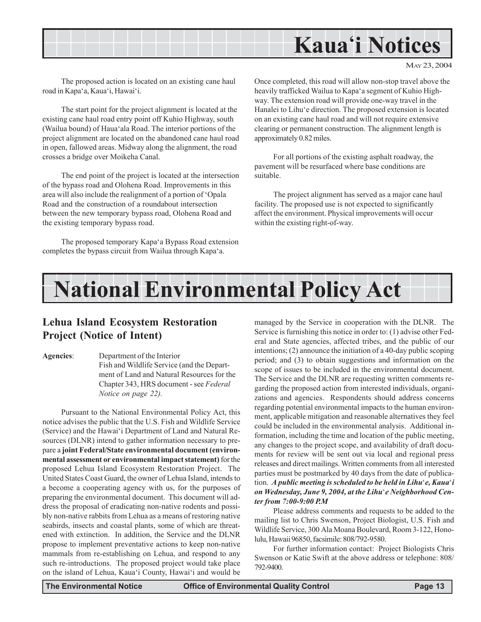# **Kaua'i Notices**

The proposed action is located on an existing cane haul road in Kapa'a, Kaua'i, Hawai'i.

The start point for the project alignment is located at the existing cane haul road entry point off Kuhio Highway, south (Wailua bound) of Haua'ala Road. The interior portions of the project alignment are located on the abandoned cane haul road in open, fallowed areas. Midway along the alignment, the road crosses a bridge over Moikeha Canal.

The end point of the project is located at the intersection of the bypass road and Olohena Road. Improvements in this area will also include the realignment of a portion of 'Opala Road and the construction of a roundabout intersection between the new temporary bypass road, Olohena Road and the existing temporary bypass road.

The proposed temporary Kapa'a Bypass Road extension completes the bypass circuit from Wailua through Kapa'a.

Once completed, this road will allow non-stop travel above the heavily trafficked Wailua to Kapa'a segment of Kuhio Highway. The extension road will provide one-way travel in the Hanalei to Lihu'e direction. The proposed extension is located on an existing cane haul road and will not require extensive clearing or permanent construction. The alignment length is approximately 0.82 miles.

For all portions of the existing asphalt roadway, the pavement will be resurfaced where base conditions are suitable.

The project alignment has served as a major cane haul facility. The proposed use is not expected to significantly affect the environment. Physical improvements will occur within the existing right-of-way.

# **National Environmental Policy Act**

## **Lehua Island Ecosystem Restoration Project (Notice of Intent)**

**Agencies**: Department of the Interior Fish and Wildlife Service (and the Department of Land and Natural Resources for the Chapter 343, HRS document - see *Federal Notice on page 22).*

Pursuant to the National Environmental Policy Act, this notice advises the public that the U.S. Fish and Wildlife Service (Service) and the Hawai'i Department of Land and Natural Resources (DLNR) intend to gather information necessary to prepare a **joint Federal/State environmental document (environmental assessment or environmental impact statement)** for the proposed Lehua Island Ecosystem Restoration Project. The United States Coast Guard, the owner of Lehua Island, intends to a become a cooperating agency with us, for the purposes of preparing the environmental document. This document will address the proposal of eradicating non-native rodents and possibly non-native rabbits from Lehua as a means of restoring native seabirds, insects and coastal plants, some of which are threatened with extinction. In addition, the Service and the DLNR propose to implement preventative actions to keep non-native mammals from re-establishing on Lehua, and respond to any such re-introductions. The proposed project would take place on the island of Lehua, Kaua'i County, Hawai'i and would be

managed by the Service in cooperation with the DLNR. The Service is furnishing this notice in order to: (1) advise other Federal and State agencies, affected tribes, and the public of our intentions; (2) announce the initiation of a 40-day public scoping period; and (3) to obtain suggestions and information on the scope of issues to be included in the environmental document. The Service and the DLNR are requesting written comments regarding the proposed action from interested individuals, organizations and agencies. Respondents should address concerns regarding potential environmental impacts to the human environment, applicable mitigation and reasonable alternatives they feel could be included in the environmental analysis. Additional information, including the time and location of the public meeting, any changes to the project scope, and availability of draft documents for review will be sent out via local and regional press releases and direct mailings. Written comments from all interested parties must be postmarked by 40 days from the date of publication. *A public meeting is scheduled to be held in Lihu*'*e, Kaua*'*i on Wednesday, June 9, 2004, at the Lihu*'*e Neighborhood Center from 7:00-9:00 P.M*

Please address comments and requests to be added to the mailing list to Chris Swenson, Project Biologist, U.S. Fish and Wildlife Service, 300 Ala Moana Boulevard, Room 3-122, Honolulu, Hawaii 96850, facsimile: 808/792-9580.

For further information contact: Project Biologists Chris Swenson or Katie Swift at the above address or telephone: 808/ 792-9400.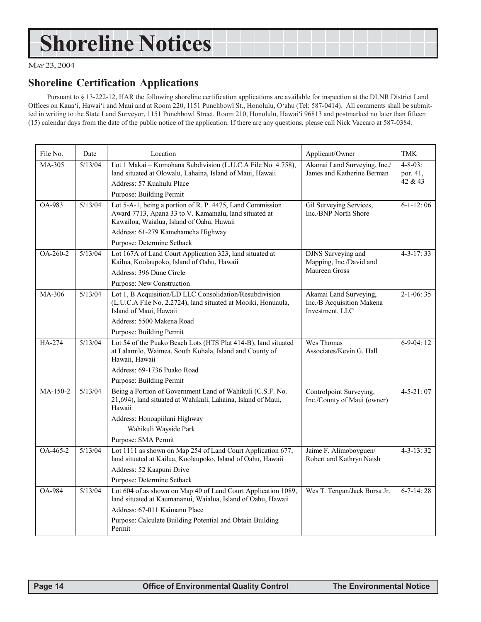MAY 23, 2004

## **Shoreline Certification Applications**

Pursuant to § 13-222-12, HAR the following shoreline certification applications are available for inspection at the DLNR District Land Offices on Kaua'i, Hawai'i and Maui and at Room 220, 1151 Punchbowl St., Honolulu, O'ahu (Tel: 587-0414). All comments shall be submitted in writing to the State Land Surveyor, 1151 Punchbowl Street, Room 210, Honolulu, Hawai'i 96813 and postmarked no later than fifteen (15) calendar days from the date of the public notice of the application. If there are any questions, please call Nick Vaccaro at 587-0384.

| File No.      | Date    | Location                                                                                                                                                        | Applicant/Owner                                                        | <b>TMK</b>                 |
|---------------|---------|-----------------------------------------------------------------------------------------------------------------------------------------------------------------|------------------------------------------------------------------------|----------------------------|
| MA-305        | 5/13/04 | Lot 1 Makai - Komohana Subdivision (L.U.C.A File No. 4.758),<br>land situated at Olowalu, Lahaina, Island of Maui, Hawaii                                       | Akamai Land Surveying, Inc./<br>James and Katherine Berman             | $4 - 8 - 03$ :<br>por. 41, |
|               |         | Address: 57 Kuahulu Place                                                                                                                                       |                                                                        | 42 & 43                    |
|               |         | Purpose: Building Permit                                                                                                                                        |                                                                        |                            |
| OA-983        | 5/13/04 | Lot 5-A-1, being a portion of R. P. 4475, Land Commission<br>Award 7713, Apana 33 to V. Kamamalu, land situated at<br>Kawailoa, Waialua, Island of Oahu, Hawaii | Gil Surveying Services,<br>Inc./BNP North Shore                        | $6-1-12:06$                |
|               |         | Address: 61-279 Kamehameha Highway                                                                                                                              |                                                                        |                            |
|               |         | Purpose: Determine Setback                                                                                                                                      |                                                                        |                            |
| OA-260-2      | 5/13/04 | Lot 167A of Land Court Application 323, land situated at<br>Kailua, Koolaupoko, Island of Oahu, Hawaii                                                          | DJNS Surveying and<br>Mapping, Inc./David and                          | $4 - 3 - 17:33$            |
|               |         | Address: 396 Dune Circle                                                                                                                                        | Maureen Gross                                                          |                            |
|               |         | Purpose: New Construction                                                                                                                                       |                                                                        |                            |
| MA-306        | 5/13/04 | Lot 1, B Acquisition/LD LLC Consolidation/Resubdivision<br>(L.U.C.A File No. 2.2724), land situated at Mooiki, Honuaula,<br>Island of Maui, Hawaii              | Akamai Land Surveying,<br>Inc./B Acquisition Makena<br>Investment, LLC | $2-1-06:35$                |
|               |         | Address: 5500 Makena Road                                                                                                                                       |                                                                        |                            |
|               |         | Purpose: Building Permit                                                                                                                                        |                                                                        |                            |
| HA-274        | 5/13/04 | Lot 54 of the Puako Beach Lots (HTS Plat 414-B), land situated<br>at Lalamilo, Waimea, South Kohala, Island and County of<br>Hawaii, Hawaii                     | Wes Thomas<br>Associates/Kevin G. Hall                                 | $6-9-04:12$                |
|               |         | Address: 69-1736 Puako Road                                                                                                                                     |                                                                        |                            |
|               |         | Purpose: Building Permit                                                                                                                                        |                                                                        |                            |
| MA-150-2      | 5/13/04 | Being a Portion of Government Land of Wahikuli (C.S.F. No.<br>21,694), land situated at Wahikuli, Lahaina, Island of Maui,<br>Hawaii                            | Controlpoint Surveying,<br>Inc./County of Maui (owner)                 | $4 - 5 - 21:07$            |
|               |         | Address: Honoapiilani Highway                                                                                                                                   |                                                                        |                            |
|               |         | Wahikuli Wayside Park                                                                                                                                           |                                                                        |                            |
|               |         | Purpose: SMA Permit                                                                                                                                             |                                                                        |                            |
| OA-465-2      | 5/13/04 | Lot 1111 as shown on Map 254 of Land Court Application 677,<br>land situated at Kailua, Koolaupoko, Island of Oahu, Hawaii                                      | Jaime F. Alimoboyguen/<br>Robert and Kathryn Naish                     | $4 - 3 - 13$ : 32          |
|               |         | Address: 52 Kaapuni Drive                                                                                                                                       |                                                                        |                            |
|               |         | Purpose: Determine Setback                                                                                                                                      |                                                                        |                            |
| <b>OA-984</b> | 5/13/04 | Lot 604 of as shown on Map 40 of Land Court Application 1089,<br>land situated at Kaumananui, Waialua, Island of Oahu, Hawaii                                   | Wes T. Tengan/Jack Borsa Jr.                                           | $6 - 7 - 14$ : 28          |
|               |         | Address: 67-011 Kaimanu Place                                                                                                                                   |                                                                        |                            |
|               |         | Purpose: Calculate Building Potential and Obtain Building<br>Permit                                                                                             |                                                                        |                            |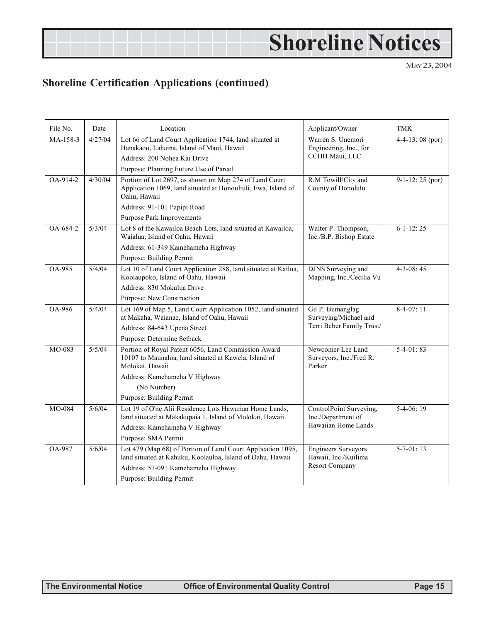MAY 23, 2004

# **Shoreline Certification Applications (continued)**

| File No.   | Date    | Location                                                                                                                        | Applicant/Owner                                        | <b>TMK</b>        |
|------------|---------|---------------------------------------------------------------------------------------------------------------------------------|--------------------------------------------------------|-------------------|
| MA-158-3   | 4/27/04 | Lot 66 of Land Court Application 1744, land situated at<br>Hanakaoo, Lahaina, Island of Maui, Hawaii                            | Warren S. Unemori<br>Engineering, Inc., for            | $4-4-13:08$ (por) |
|            |         | Address: 200 Nohea Kai Drive                                                                                                    | CCHH Maui, LLC                                         |                   |
|            |         | Purpose: Planning Future Use of Parcel                                                                                          |                                                        |                   |
| $OA-914-2$ | 4/30/04 | Portion of Lot 2697, as shown on Map 274 of Land Court                                                                          | R.M Towill/City and                                    | $9-1-12:25$ (por) |
|            |         | Application 1069, land situated at Honouliuli, Ewa, Island of<br>Oahu, Hawaii                                                   | County of Honolulu                                     |                   |
|            |         | Address: 91-101 Papipi Road                                                                                                     |                                                        |                   |
|            |         | <b>Purpose Park Improvements</b>                                                                                                |                                                        |                   |
| OA-684-2   | 5/3/04  | Lot 8 of the Kawailoa Beach Lots, land situated at Kawailoa,<br>Waialua, Island of Oahu, Hawaii                                 | Walter P. Thompson,<br>Inc./B.P. Bishop Estate         | $6-1-12:25$       |
|            |         | Address: 61-349 Kamehameha Highway                                                                                              |                                                        |                   |
|            |         | Purpose: Building Permit                                                                                                        |                                                        |                   |
| OA-985     | 5/4/04  | Lot 10 of Land Court Application 288, land situated at Kailua,<br>Koolaupoko, Island of Oahu, Hawaii                            | DJNS Surveying and<br>Mapping, Inc./Cecilia Vu         | $4 - 3 - 08$ : 45 |
|            |         | Address: 830 Mokulua Drive                                                                                                      |                                                        |                   |
|            |         | Purpose: New Construction                                                                                                       |                                                        |                   |
| OA-986     | 5/4/04  | Lot 169 of Map 5, Land Court Application 1052, land situated<br>at Makaha, Waianae, Island of Oahu, Hawaii                      | Gil P. Bumanglag<br>Surveying/Michael and              | $8-4-07:11$       |
|            |         | Address: 84-643 Upena Street                                                                                                    | Terri Beber Family Trust/                              |                   |
|            |         | Purpose: Determine Setback                                                                                                      |                                                        |                   |
| MO-083     | 5/5/04  | Portion of Royal Patent 6056, Land Commission Award<br>10107 to Maunaloa, land situated at Kawela, Island of<br>Molokai, Hawaii | Newcomer-Lee Land<br>Surveyors, Inc./Fred R.<br>Parker | $5-4-01:83$       |
|            |         | Address: Kamehameha V Highway                                                                                                   |                                                        |                   |
|            |         | (No Number)                                                                                                                     |                                                        |                   |
|            |         | Purpose: Building Permit                                                                                                        |                                                        |                   |
| MO-084     | 5/6/04  | Lot 19 of O'ne Alii Residence Lots Hawaiian Home Lands,<br>land situated at Makakupaia 1, Island of Molokai, Hawaii             | ControlPoint Surveying,<br>Inc./Department of          | $5-4-06:19$       |
|            |         | Address: Kamehameha V Highway                                                                                                   | Hawaiian Home Lands                                    |                   |
|            |         | Purpose: SMA Permit                                                                                                             |                                                        |                   |
| OA-987     | 5/6/04  | Lot 479 (Map 68) of Portion of Land Court Application 1095,<br>land situated at Kahuku, Koolauloa, Island of Oahu, Hawaii       | <b>Engineers Surveyors</b><br>Hawaii, Inc./Kuilima     | $5 - 7 - 01$ : 13 |
|            |         | Address: 57-091 Kamehameha Highway                                                                                              | <b>Resort Company</b>                                  |                   |
|            |         | Purpose: Building Permit                                                                                                        |                                                        |                   |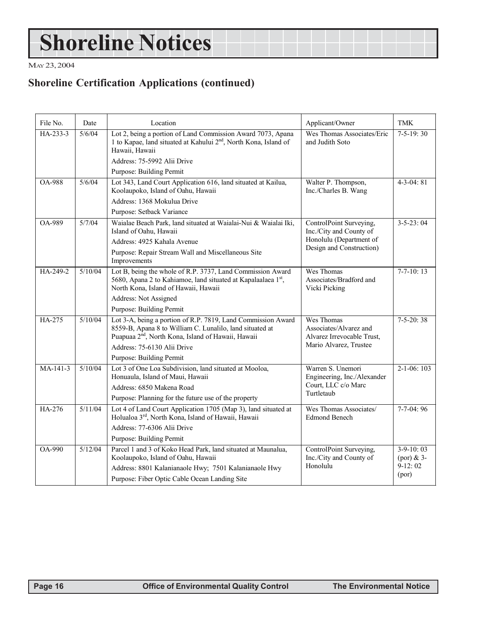MAY 23, 2004

# **Shoreline Certification Applications (continued)**

| File No.      | Date    | Location                                                                                                                                                                                   | Applicant/Owner                                                    | <b>TMK</b>                |
|---------------|---------|--------------------------------------------------------------------------------------------------------------------------------------------------------------------------------------------|--------------------------------------------------------------------|---------------------------|
| HA-233-3      | 5/6/04  | Lot 2, being a portion of Land Commission Award 7073, Apana<br>1 to Kapae, land situated at Kahului 2 <sup>nd</sup> , North Kona, Island of<br>Hawaii, Hawaii                              | Wes Thomas Associates/Eric<br>and Judith Soto                      | $7-5-19:30$               |
|               |         | Address: 75-5992 Alii Drive                                                                                                                                                                |                                                                    |                           |
|               |         | Purpose: Building Permit                                                                                                                                                                   |                                                                    |                           |
| <b>OA-988</b> | 5/6/04  | Lot 343, Land Court Application 616, land situated at Kailua,<br>Koolaupoko, Island of Oahu, Hawaii                                                                                        | Walter P. Thompson,<br>Inc./Charles B. Wang                        | $4 - 3 - 04$ : 81         |
|               |         | Address: 1368 Mokulua Drive                                                                                                                                                                |                                                                    |                           |
|               |         | Purpose: Setback Variance                                                                                                                                                                  |                                                                    |                           |
| OA-989        | 5/7/04  | Waialae Beach Park, land situated at Waialai-Nui & Waialai Iki,<br>Island of Oahu, Hawaii                                                                                                  | ControlPoint Surveying,<br>Inc./City and County of                 | $3-5-23:04$               |
|               |         | Address: 4925 Kahala Avenue                                                                                                                                                                | Honolulu (Department of<br>Design and Construction)                |                           |
|               |         | Purpose: Repair Stream Wall and Miscellaneous Site<br>Improvements                                                                                                                         |                                                                    |                           |
| HA-249-2      | 5/10/04 | Lot B, being the whole of R.P. 3737, Land Commission Award<br>5680, Apana 2 to Kahiamoe, land situated at Kapalaalaea 1st,<br>North Kona, Island of Hawaii, Hawaii                         | Wes Thomas<br>Associates/Bradford and<br>Vicki Picking             | $7 - 7 - 10:13$           |
|               |         | Address: Not Assigned                                                                                                                                                                      |                                                                    |                           |
|               |         | Purpose: Building Permit                                                                                                                                                                   |                                                                    |                           |
| HA-275        | 5/10/04 | Lot 3-A, being a portion of R.P. 7819, Land Commission Award<br>8559-B, Apana 8 to William C. Lunalilo, land situated at<br>Puapuaa 2 <sup>nd</sup> , North Kona, Island of Hawaii, Hawaii | Wes Thomas<br>Associates/Alvarez and<br>Alvarez Irrevocable Trust, | $7-5-20:38$               |
|               |         | Address: 75-6130 Alii Drive                                                                                                                                                                | Mario Alvarez, Trustee                                             |                           |
|               |         | Purpose: Building Permit                                                                                                                                                                   |                                                                    |                           |
| $MA-141-3$    | 5/10/04 | Lot 3 of One Loa Subdivision, land situated at Mooloa,<br>Honuaula, Island of Maui, Hawaii                                                                                                 | Warren S. Unemori<br>Engineering, Inc./Alexander                   | $2-1-06:103$              |
|               |         | Address: 6850 Makena Road                                                                                                                                                                  | Court, LLC c/o Marc                                                |                           |
|               |         | Purpose: Planning for the future use of the property                                                                                                                                       | Turtletaub                                                         |                           |
| <b>HA-276</b> | 5/11/04 | Lot 4 of Land Court Application 1705 (Map 3), land situated at<br>Holualoa 3rd, North Kona, Island of Hawaii, Hawaii                                                                       | Wes Thomas Associates/<br><b>Edmond Benech</b>                     | $7-7-04:96$               |
|               |         | Address: 77-6306 Alii Drive                                                                                                                                                                |                                                                    |                           |
|               |         | Purpose: Building Permit                                                                                                                                                                   |                                                                    |                           |
| OA-990        | 5/12/04 | Parcel 1 and 3 of Koko Head Park, land situated at Maunalua,                                                                                                                               | ControlPoint Surveying,                                            | $3-9-10:03$               |
|               |         | Koolaupoko, Island of Oahu, Hawaii                                                                                                                                                         | Inc./City and County of<br>Honolulu                                | $(por)$ & 3-<br>$9-12:02$ |
|               |         | Address: 8801 Kalanianaole Hwy; 7501 Kalanianaole Hwy                                                                                                                                      |                                                                    | (por)                     |
|               |         | Purpose: Fiber Optic Cable Ocean Landing Site                                                                                                                                              |                                                                    |                           |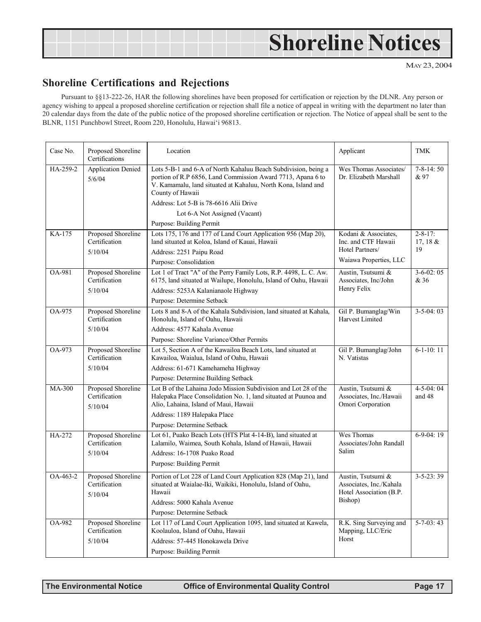MAY 23, 2004

# **Shoreline Certifications and Rejections**

Pursuant to §§13-222-26, HAR the following shorelines have been proposed for certification or rejection by the DLNR. Any person or agency wishing to appeal a proposed shoreline certification or rejection shall file a notice of appeal in writing with the department no later than 20 calendar days from the date of the public notice of the proposed shoreline certification or rejection. The Notice of appeal shall be sent to the BLNR, 1151 Punchbowl Street, Room 220, Honolulu, Hawai'i 96813.

| Case No. | Proposed Shoreline<br>Certifications           | Location<br>Applicant                                                                                                                                                                                              |                                                                          | <b>TMK</b>                   |
|----------|------------------------------------------------|--------------------------------------------------------------------------------------------------------------------------------------------------------------------------------------------------------------------|--------------------------------------------------------------------------|------------------------------|
| HA-259-2 | <b>Application Denied</b><br>5/6/04            | Lots 5-B-1 and 6-A of North Kahaluu Beach Subdivision, being a<br>portion of R.P 6856, Land Commission Award 7713, Apana 6 to<br>V. Kamamalu, land situated at Kahaluu, North Kona, Island and<br>County of Hawaii | Wes Thomas Associates/<br>Dr. Elizabeth Marshall                         | $7 - 8 - 14:50$<br>& 97      |
|          |                                                | Address: Lot 5-B is 78-6616 Alii Drive                                                                                                                                                                             |                                                                          |                              |
|          |                                                | Lot 6-A Not Assigned (Vacant)                                                                                                                                                                                      |                                                                          |                              |
|          |                                                | Purpose: Building Permit                                                                                                                                                                                           |                                                                          |                              |
| KA-175   | Proposed Shoreline<br>Certification            | Lots 175, 176 and 177 of Land Court Application 956 (Map 20),<br>land situated at Koloa, Island of Kauai, Hawaii                                                                                                   | Kodani & Associates,<br>Inc. and CTF Hawaii                              | $2 - 8 - 17$ :<br>17, 18 $&$ |
|          | 5/10/04                                        | Address: 2251 Paipu Road                                                                                                                                                                                           | Hotel Partners/                                                          | 19                           |
|          |                                                | Purpose: Consolidation                                                                                                                                                                                             | Waiawa Properties, LLC                                                   |                              |
| OA-981   | Proposed Shoreline<br>Certification            | Lot 1 of Tract "A" of the Perry Family Lots, R.P. 4498, L.C. Aw.<br>6175, land situated at Wailupe, Honolulu, Island of Oahu, Hawaii                                                                               | Austin, Tsutsumi &<br>Associates, Inc/John                               | $3-6-02:05$<br>& 36          |
|          | 5/10/04                                        | Address: 5253A Kalanianaole Highway                                                                                                                                                                                | Henry Felix                                                              |                              |
|          |                                                | Purpose: Determine Setback                                                                                                                                                                                         |                                                                          |                              |
| OA-975   | Proposed Shoreline<br>Certification            | Lots 8 and 8-A of the Kahala Subdivision, land situated at Kahala,<br>Honolulu, Island of Oahu, Hawaii                                                                                                             | Gil P. Bumanglag/Win<br>Harvest Limited                                  | $3-5-04:03$                  |
|          | 5/10/04                                        | Address: 4577 Kahala Avenue                                                                                                                                                                                        |                                                                          |                              |
|          |                                                | Purpose: Shoreline Variance/Other Permits                                                                                                                                                                          |                                                                          |                              |
| OA-973   | Proposed Shoreline<br>Certification            | Lot 5, Section A of the Kawailoa Beach Lots, land situated at<br>Kawailoa, Waialua, Island of Oahu, Hawaii                                                                                                         | Gil P. Bumanglag/John<br>N. Vatistas                                     | $6-1-10:11$                  |
|          | 5/10/04                                        | Address: 61-671 Kamehameha Highway                                                                                                                                                                                 |                                                                          |                              |
|          |                                                | Purpose: Determine Building Setback                                                                                                                                                                                |                                                                          |                              |
| $MA-300$ | Proposed Shoreline<br>Certification<br>5/10/04 | Lot B of the Lahaina Jodo Mission Subdivision and Lot 28 of the<br>Halepaka Place Consolidation No. 1, land situated at Puunoa and<br>Alio, Lahaina, Island of Maui, Hawaii                                        | Austin, Tsutsumi &<br>Associates, Inc./Hawaii<br>Omori Corporation       | $4-5-04:04$<br>and 48        |
|          |                                                | Address: 1189 Halepaka Place                                                                                                                                                                                       |                                                                          |                              |
|          |                                                | Purpose: Determine Setback                                                                                                                                                                                         |                                                                          |                              |
| HA-272   | Proposed Shoreline<br>Certification            | Lot 61, Puako Beach Lots (HTS Plat 4-14-B), land situated at<br>Lalamilo, Waimea, South Kohala, Island of Hawaii, Hawaii                                                                                           | Wes Thomas<br>Associates/John Randall                                    | $6-9-04:19$                  |
|          | 5/10/04                                        | Address: 16-1708 Puako Road                                                                                                                                                                                        | Salim                                                                    |                              |
|          |                                                | Purpose: Building Permit                                                                                                                                                                                           |                                                                          |                              |
| OA-463-2 | Proposed Shoreline<br>Certification<br>5/10/04 | Portion of Lot 228 of Land Court Application 828 (Map 21), land<br>situated at Waialae-Iki, Waikiki, Honolulu, Island of Oahu,<br>Hawaii                                                                           | Austin, Tsutsumi &<br>Associates, Inc./Kahala<br>Hotel Association (B.P. | $3 - 5 - 23:39$              |
|          |                                                | Address: 5000 Kahala Avenue                                                                                                                                                                                        | Bishop)                                                                  |                              |
|          |                                                | Purpose: Determine Setback                                                                                                                                                                                         |                                                                          |                              |
| OA-982   | Proposed Shoreline<br>Certification            | Lot 117 of Land Court Application 1095, land situated at Kawela,<br>Koolauloa, Island of Oahu, Hawaii                                                                                                              | R.K. Sing Surveying and<br>Mapping, LLC/Eric                             | $5 - 7 - 03:43$              |
|          | 5/10/04                                        | Address: 57-445 Honokawela Drive                                                                                                                                                                                   | Horst                                                                    |                              |
|          |                                                | Purpose: Building Permit                                                                                                                                                                                           |                                                                          |                              |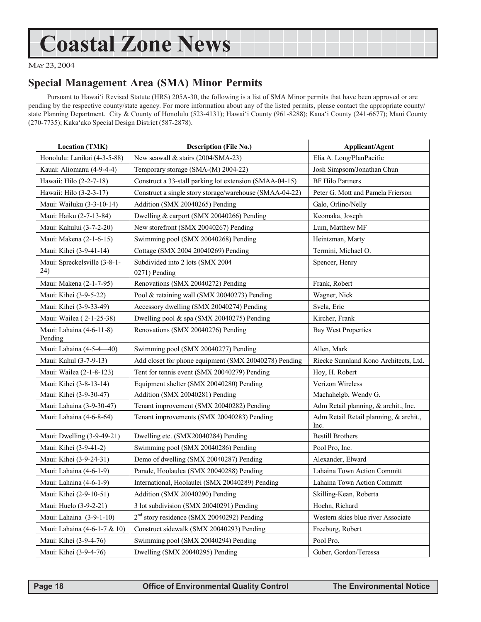# **Coastal Zone News**

MAY 23, 2004

## **Special Management Area (SMA) Minor Permits**

Pursuant to Hawai'i Revised Statute (HRS) 205A-30, the following is a list of SMA Minor permits that have been approved or are pending by the respective county/state agency. For more information about any of the listed permits, please contact the appropriate county/ state Planning Department. City & County of Honolulu (523-4131); Hawai'i County (961-8288); Kaua'i County (241-6677); Maui County (270-7735); Kaka'ako Special Design District (587-2878).

| <b>Location (TMK)</b>               | <b>Description (File No.)</b>                           | Applicant/Agent                                |  |
|-------------------------------------|---------------------------------------------------------|------------------------------------------------|--|
| Honolulu: Lanikai (4-3-5-88)        | New seawall & stairs (2004/SMA-23)                      | Elia A. Long/PlanPacific                       |  |
| Kauai: Aliomanu (4-9-4-4)           | Temporary storage (SMA-(M) 2004-22)                     | Josh Simpsom/Jonathan Chun                     |  |
| Hawaii: Hilo (2-2-7-18)             | Construct a 33-stall parking lot extension (SMAA-04-15) | <b>BF</b> Hilo Partners                        |  |
| Hawaii: Hilo (3-2-3-17)             | Construct a single story storage/warehouse (SMAA-04-22) | Peter G. Mott and Pamela Frierson              |  |
| Maui: Wailuku (3-3-10-14)           | Addition (SMX 20040265) Pending                         | Galo, Orlino/Nelly                             |  |
| Maui: Haiku (2-7-13-84)             | Dwelling & carport (SMX 20040266) Pending               | Keomaka, Joseph                                |  |
| Maui: Kahului (3-7-2-20)            | New storefront (SMX 20040267) Pending                   | Lum, Matthew MF                                |  |
| Maui: Makena (2-1-6-15)             | Swimming pool (SMX 20040268) Pending                    | Heintzman, Marty                               |  |
| Maui: Kihei (3-9-41-14)             | Cottage (SMX 2004 20040269) Pending                     | Termini, Michael O.                            |  |
| Maui: Spreckelsville (3-8-1-<br>24) | Subdivided into 2 lots (SMX 2004<br>0271) Pending       | Spencer, Henry                                 |  |
| Maui: Makena (2-1-7-95)             | Renovations (SMX 20040272) Pending                      | Frank, Robert                                  |  |
| Maui: Kihei (3-9-5-22)              | Pool & retaining wall (SMX 20040273) Pending            | Wagner, Nick                                   |  |
| Maui: Kihei (3-9-33-49)             | Accessory dwelling (SMX 20040274) Pending               | Svela, Eric                                    |  |
| Maui: Wailea (2-1-25-38)            | Dwelling pool & spa (SMX 20040275) Pending              | Kircher, Frank                                 |  |
| Maui: Lahaina (4-6-11-8)<br>Pending | Renovations (SMX 20040276) Pending                      | <b>Bay West Properties</b>                     |  |
| Maui: Lahaina (4-5-4-40)            | Swimming pool (SMX 20040277) Pending                    | Allen, Mark                                    |  |
| Maui: Kahul (3-7-9-13)              | Add closet for phone equipment (SMX 20040278) Pending   | Riecke Sunnland Kono Architects, Ltd.          |  |
| Maui: Wailea (2-1-8-123)            | Tent for tennis event (SMX 20040279) Pending            | Hoy, H. Robert                                 |  |
| Maui: Kihei (3-8-13-14)             | Equipment shelter (SMX 20040280) Pending                | Verizon Wireless                               |  |
| Maui: Kihei (3-9-30-47)             | Addition (SMX 20040281) Pending                         | Machahelgb, Wendy G.                           |  |
| Maui: Lahaina (3-9-30-47)           | Tenant improvement (SMX 20040282) Pending               | Adm Retail planning, & archit., Inc.           |  |
| Maui: Lahaina (4-6-8-64)            | Tenant improvements (SMX 20040283) Pending              | Adm Retail Retail planning, & archit.,<br>Inc. |  |
| Maui: Dwelling (3-9-49-21)          | Dwelling etc. (SMX20040284) Pending                     | <b>Bestill Brothers</b>                        |  |
| Maui: Kihei (3-9-41-2)              | Swimming pool (SMX 20040286) Pending                    | Pool Pro, Inc.                                 |  |
| Maui: Kihei (3-9-24-31)             | Demo of dwelling (SMX 20040287) Pending                 | Alexander, Elward                              |  |
| Maui: Lahaina (4-6-1-9)             | Parade, Hoolaulea (SMX 20040288) Pending                | Lahaina Town Action Committ                    |  |
| Maui: Lahaina (4-6-1-9)             | International, Hoolaulei (SMX 20040289) Pending         | Lahaina Town Action Committ                    |  |
| Maui: Kihei (2-9-10-51)             | Addition (SMX 20040290) Pending                         | Skilling-Kean, Roberta                         |  |
| Maui: Huelo (3-9-2-21)              | 3 lot subdivision (SMX 20040291) Pending                | Hoehn, Richard                                 |  |
| Maui: Lahaina (3-9-1-10)            | 2 <sup>nd</sup> story residence (SMX 20040292) Pending  | Western skies blue river Associate             |  |
| Maui: Lahaina (4-6-1-7 & 10)        | Construct sidewalk (SMX 20040293) Pending               | Freeburg, Robert                               |  |
| Maui: Kihei (3-9-4-76)              | Swimming pool (SMX 20040294) Pending                    | Pool Pro.                                      |  |
| Maui: Kihei (3-9-4-76)              | Dwelling (SMX 20040295) Pending                         | Guber, Gordon/Teressa                          |  |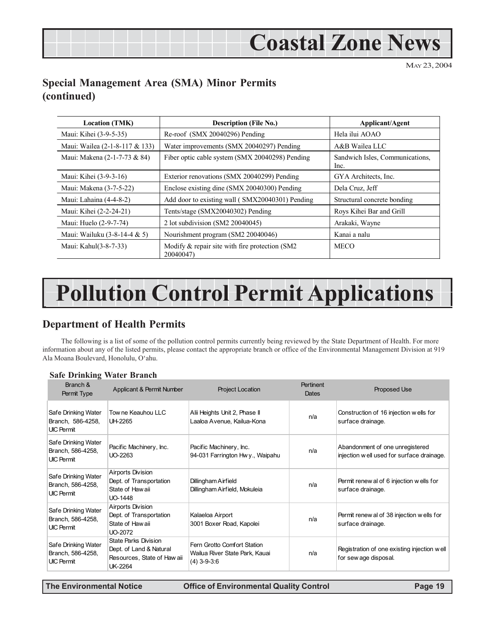# **Coastal Zone News**

MAY 23, 2004

# **Special Management Area (SMA) Minor Permits (continued)**

| <b>Location (TMK)</b>          | <b>Description (File No.)</b>                                   | Applicant/Agent                         |
|--------------------------------|-----------------------------------------------------------------|-----------------------------------------|
| Maui: Kihei (3-9-5-35)         | Re-roof (SMX 20040296) Pending                                  | Hela ilui AOAO                          |
| Maui: Wailea (2-1-8-117 & 133) | Water improvements (SMX 20040297) Pending                       | A&B Wailea LLC                          |
| Maui: Makena (2-1-7-73 & 84)   | Fiber optic cable system (SMX 20040298) Pending                 | Sandwich Isles, Communications,<br>lnc. |
| Maui: Kihei (3-9-3-16)         | Exterior renovations (SMX 20040299) Pending                     | GYA Architects, Inc.                    |
| Maui: Makena (3-7-5-22)        | Enclose existing dine (SMX 20040300) Pending                    | Dela Cruz, Jeff                         |
| Maui: Lahaina (4-4-8-2)        | Add door to existing wall (SMX20040301) Pending                 | Structural concrete bonding             |
| Maui: Kihei (2-2-24-21)        | Tents/stage (SMX20040302) Pending                               | Roys Kihei Bar and Grill                |
| Maui: Huelo (2-9-7-74)         | 2 lot subdivision (SM2 20040045)                                | Arakaki, Wayne                          |
| Maui: Wailuku (3-8-14-4 & 5)   | Nourishment program (SM2 20040046)                              | Kanai a nalu                            |
| Maui: Kahul(3-8-7-33)          | Modify $\&$ repair site with fire protection (SM2)<br>20040047) | <b>MECO</b>                             |

# **Pollution Control Permit Applications**

## **Department of Health Permits**

The following is a list of some of the pollution control permits currently being reviewed by the State Department of Health. For more information about any of the listed permits, please contact the appropriate branch or office of the Environmental Management Division at 919 Ala Moana Boulevard, Honolulu, O'ahu.

| Branch &<br>Permit Type                                       | Applicant & Permit Number                                                                        | <b>Project Location</b>                                                        | <b>Pertinent</b><br>Dates | Proposed Use                                                                 |
|---------------------------------------------------------------|--------------------------------------------------------------------------------------------------|--------------------------------------------------------------------------------|---------------------------|------------------------------------------------------------------------------|
| Safe Drinking Water<br>Branch, 586-4258,<br><b>UIC Permit</b> | Tow ne Keauhou LLC<br>UH-2265                                                                    | Alii Heights Unit 2, Phase II<br>Laaloa Avenue, Kailua-Kona                    | n/a                       | Construction of 16 injection wells for<br>surface drainage.                  |
| Safe Drinking Water<br>Branch, 586-4258,<br><b>UIC Permit</b> | Pacific Machinery, Inc.<br>UO-2263                                                               | Pacific Machinery, Inc.<br>94-031 Farrington Hwy., Waipahu                     | n/a                       | Abandonment of one unregistered<br>injection well used for surface drainage. |
| Safe Drinking Water<br>Branch, 586-4258,<br><b>UIC Permit</b> | Airports Division<br>Dept. of Transportation<br>State of Haw aii<br>UO-1448                      | Dillingham Airfield<br>Dillingham Airfield, Mokuleia                           | n/a                       | Permit renew al of 6 injection wells for<br>surface drainage.                |
| Safe Drinking Water<br>Branch, 586-4258,<br><b>UIC Permit</b> | Airports Division<br>Dept. of Transportation<br>State of Haw aii<br>UO-2072                      | Kalaeloa Airport<br>3001 Boxer Road, Kapolei                                   | n/a                       | Permit renew al of 38 injection wells for<br>surface drainage.               |
| Safe Drinking Water<br>Branch, 586-4258,<br><b>UIC Permit</b> | State Parks Division<br>Dept. of Land & Natural<br>Resources, State of Haw aii<br><b>UK-2264</b> | Fern Grotto Comfort Station<br>Wailua River State Park, Kauai<br>$(4)$ 3-9-3:6 | n/a                       | Registration of one existing injection well<br>for sew age disposal.         |

### **Safe Drinking Water Branch**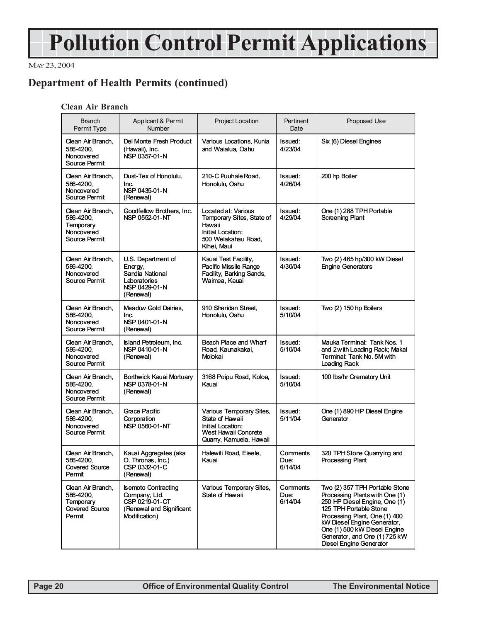# **Pollution Control Permit Applications**

MAY 23, 2004

# **Department of Health Permits (continued)**

### **Clean Air Branch**

| <b>Branch</b><br>Permit Type                                               | <b>Applicant &amp; Permit</b><br>Number                                                                    | <b>Project Location</b>                                                                                               | Pertinent<br>Date           | Proposed Use                                                                                                                                                                                                                                                                                   |
|----------------------------------------------------------------------------|------------------------------------------------------------------------------------------------------------|-----------------------------------------------------------------------------------------------------------------------|-----------------------------|------------------------------------------------------------------------------------------------------------------------------------------------------------------------------------------------------------------------------------------------------------------------------------------------|
| Clean Air Branch,<br>586-4200.<br>Noncovered<br>Source Permit              | Del Monte Fresh Product<br>(Hawaii), Inc.<br>NSP 0357-01-N                                                 | Various Locations, Kunia<br>and Waialua, Oahu                                                                         | Issued:<br>4/23/04          | Six (6) Diesel Engines                                                                                                                                                                                                                                                                         |
| Clean Air Branch,<br>586-4200,<br>Noncovered<br>Source Permit              | Dust-Tex of Honolulu,<br>Inc.<br>NSP 0435-01-N<br>(Renewal)                                                | 210-C Puuhale Road.<br>Honolulu, Oahu                                                                                 | Issued:<br>4/26/04          | 200 hp Boiler                                                                                                                                                                                                                                                                                  |
| Clean Air Branch.<br>586-4200,<br>Temporary<br>Noncovered<br>Source Permit | Goodfellow Brothers, Inc.<br><b>NSP 0552-01-NT</b>                                                         | Located at: Various<br>Temporary Sites, State of<br>Hawaii<br>Initial Location:<br>500 Welakahau Road,<br>Kihei, Maui | Issued:<br>4/29/04          | One (1) 288 TPH Portable<br><b>Screening Plant</b>                                                                                                                                                                                                                                             |
| Clean Air Branch,<br>586-4200.<br>Noncovered<br>Source Permit              | U.S. Department of<br>Energy,<br>Sandia National<br>Laboratories<br>NSP 0429-01-N<br>(Renewal)             | Kauai Test Facility,<br>Pacific Missile Range<br>Facility, Barking Sands,<br>Waimea, Kauai                            | Issued:<br>4/30/04          | Two (2) 465 hp/300 kW Diesel<br><b>Engine Generators</b>                                                                                                                                                                                                                                       |
| Clean Air Branch,<br>586-4200,<br>Noncovered<br>Source Permit              | Meadow Gold Dairies,<br>Inc.<br>NSP 0401-01-N<br>(Renewal)                                                 | 910 Sheridan Street.<br>Honolulu, Oahu                                                                                | Issued:<br>5/10/04          | Two (2) 150 hp Boilers                                                                                                                                                                                                                                                                         |
| Clean Air Branch,<br>586-4200,<br>Noncovered<br>Source Permit              | Island Petroleum, Inc.<br>NSP 0410-01-N<br>(Renewal)                                                       | Beach Place and Wharf<br>Road, Kaunakakai,<br>Molokai                                                                 | Issued:<br>5/10/04          | Mauka Terminal: Tank Nos. 1<br>and 2with Loading Rack; Makai<br>Terminal: Tank No. 5M with<br><b>Loading Rack</b>                                                                                                                                                                              |
| Clean Air Branch,<br>586-4200,<br>Noncovered<br>Source Permit              | Borthwick Kauai Mortuary<br>NSP 0378-01-N<br>(Renewal)                                                     | 3168 Poipu Road, Koloa,<br>Kauai                                                                                      | Issued:<br>5/10/04          | 100 lbs/hr Crematory Unit                                                                                                                                                                                                                                                                      |
| Clean Air Branch,<br>586-4200,<br>Noncovered<br>Source Permit              | Grace Pacific<br>Corporation<br><b>NSP 0560-01-NT</b>                                                      | Various Temporary Sites,<br>State of Hawaii<br>Initial Location:<br>West Hawaii Concrete<br>Quarry, Kamuela, Hawaii   | Issued:<br>5/11/04          | One (1) 890 HP Diesel Engine<br>Generator                                                                                                                                                                                                                                                      |
| Clean Air Branch,<br>586-4200,<br>Covered Source<br>Permit                 | Kauai Aggregates (aka<br>O. Thronas, Inc.)<br>CSP 0332-01-C<br>(Renewal)                                   | Halewili Road, Eleele,<br>Kauai                                                                                       | Comments<br>Due:<br>6/14/04 | 320 TPH Stone Quarrying and<br>Processing Plant                                                                                                                                                                                                                                                |
| Clean Air Branch,<br>586-4200.<br>Temporary<br>Covered Source<br>Permit    | <b>Isemoto Contracting</b><br>Company, Ltd.<br>CSP 0219-01-CT<br>(Renewal and Significant<br>Modification) | Various Temporary Sites,<br>State of Hawaii                                                                           | Comments<br>Due:<br>6/14/04 | Two (2) 357 TPH Portable Stone<br>Processing Plants with One (1)<br>250 HP Diesel Engine, One (1)<br>125 TPH Portable Stone<br>Processing Plant, One (1) 400<br>kW Diesel Engine Generator,<br>One (1) 500 kW Diesel Engine<br>Generator, and One (1) 725 kW<br><b>Diesel Engine Generator</b> |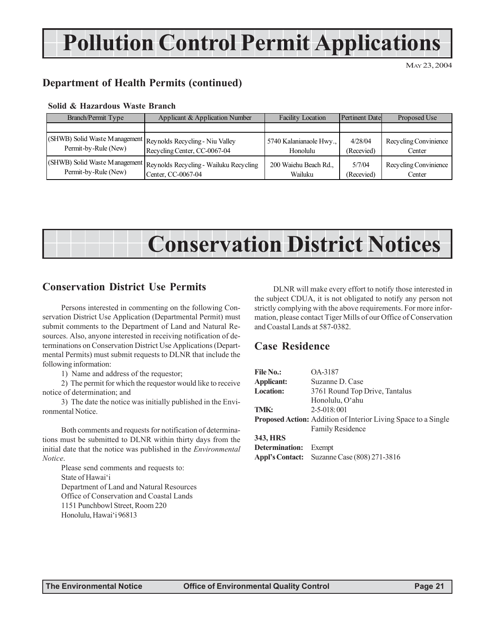# **Pollution Control Permit Applications**

MAY 23, 2004

# **Department of Health Permits (continued)**

### **Solid & Hazardous Waste Branch**

| Branch/Permit Type                                            | Applicant & Application Number                                         | <b>Facility Location</b> | <b>Pertinent Date</b> | Proposed Use          |
|---------------------------------------------------------------|------------------------------------------------------------------------|--------------------------|-----------------------|-----------------------|
|                                                               |                                                                        |                          |                       |                       |
| (SHWB) Solid Waste Management Reynolds Recycling - Niu Valley | Recycling Center, CC-0067-04                                           | 5740 Kalanianaole Hwy.,  | 4/28/04               | Recycling Convinience |
| Permit-by-Rule (New)                                          |                                                                        | Honolulu                 | (Recevied)            | Center                |
| Permit-by-Rule (New)                                          | (SHWB) Solid Waste Management   Reynolds Recycling - Wailuku Recycling | 200 Waiehu Beach Rd.,    | 5/7/04                | Recycling Convinience |
|                                                               | Center, CC-0067-04                                                     | Wailuku                  | (Recevied)            | Center                |

# **Conservation District Notices**

## **Conservation District Use Permits**

Persons interested in commenting on the following Conservation District Use Application (Departmental Permit) must submit comments to the Department of Land and Natural Resources. Also, anyone interested in receiving notification of determinations on Conservation District Use Applications (Departmental Permits) must submit requests to DLNR that include the following information:

1) Name and address of the requestor;

2) The permit for which the requestor would like to receive notice of determination; and

3) The date the notice was initially published in the Environmental Notice.

Both comments and requests for notification of determinations must be submitted to DLNR within thirty days from the initial date that the notice was published in the *Environmental Notice*.

Please send comments and requests to: State of Hawai'i Department of Land and Natural Resources Office of Conservation and Coastal Lands 1151 Punchbowl Street, Room 220 Honolulu, Hawai'i 96813

DLNR will make every effort to notify those interested in the subject CDUA, it is not obligated to notify any person not strictly complying with the above requirements. For more information, please contact Tiger Mills of our Office of Conservation and Coastal Lands at 587-0382.

## **Case Residence**

| File No.:                                                             | OA-3187                                     |  |
|-----------------------------------------------------------------------|---------------------------------------------|--|
| Applicant:                                                            | Suzanne D. Case                             |  |
| <b>Location:</b>                                                      | 3761 Round Top Drive, Tantalus              |  |
|                                                                       | Honolulu, O'ahu                             |  |
| TMK:                                                                  | $2 - 5 - 018:001$                           |  |
| <b>Proposed Action:</b> Addition of Interior Living Space to a Single |                                             |  |
|                                                                       | <b>Family Residence</b>                     |  |
| 343, HRS                                                              |                                             |  |
| Determination:                                                        | Exempt                                      |  |
|                                                                       | Appl's Contact: Suzanne Case (808) 271-3816 |  |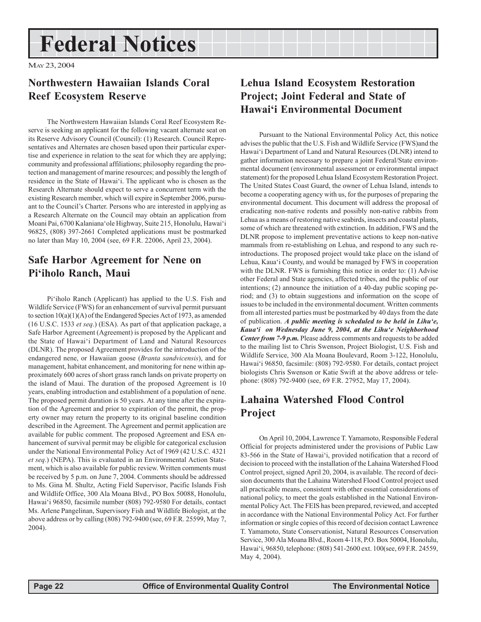# **Federal Notices**

MAY 23, 2004

# **Northwestern Hawaiian Islands Coral Reef Ecosystem Reserve**

The Northwestern Hawaiian Islands Coral Reef Ecosystem Reserve is seeking an applicant for the following vacant alternate seat on its Reserve Advisory Council (Council): (1) Research. Council Representatives and Alternates are chosen based upon their particular expertise and experience in relation to the seat for which they are applying; community and professional affiliations; philosophy regarding the protection and management of marine resources; and possibly the length of residence in the State of Hawai'i. The applicant who is chosen as the Research Alternate should expect to serve a concurrent term with the existing Research member, which will expire in September 2006, pursuant to the Council's Charter. Persons who are interested in applying as a Research Alternate on the Council may obtain an application from Moani Pai, 6700 Kalaniana'ole Highway, Suite 215, Honolulu, Hawai'i 96825, (808) 397-2661 Completed applications must be postmarked no later than May 10, 2004 (see, 69 F.R. 22006, April 23, 2004).

## **Safe Harbor Agreement for Nene on Pi'iholo Ranch, Maui**

Pi'iholo Ranch (Applicant) has applied to the U.S. Fish and Wildlife Service (FWS) for an enhancement of survival permit pursuant to section 10(a)(1)(A) of the Endangered Species Act of 1973, as amended (16 U.S.C. 1533 *et seq*.) (ESA). As part of that application package, a Safe Harbor Agreement (Agreement) is proposed by the Applicant and the State of Hawai'i Department of Land and Natural Resources (DLNR). The proposed Agreement provides for the introduction of the endangered nene, or Hawaiian goose (*Branta sandvicensis*), and for management, habitat enhancement, and monitoring for nene within approximately 600 acres of short grass ranch lands on private property on the island of Maui. The duration of the proposed Agreement is 10 years, enabling introduction and establishment of a population of nene. The proposed permit duration is 50 years. At any time after the expiration of the Agreement and prior to expiration of the permit, the property owner may return the property to its original baseline condition described in the Agreement. The Agreement and permit application are available for public comment. The proposed Agreement and ESA enhancement of survival permit may be eligible for categorical exclusion under the National Environmental Policy Act of 1969 (42 U.S.C. 4321 *et seq*.) (NEPA). This is evaluated in an Environmental Action Statement, which is also available for public review. Written comments must be received by 5 p.m. on June 7, 2004. Comments should be addressed to Ms. Gina M. Shultz, Acting Field Supervisor, Pacific Islands Fish and Wildlife Office, 300 Ala Moana Blvd., PO Box 50088, Honolulu, Hawai'i 96850, facsimile number (808) 792-9580 For details, contact Ms. Arlene Pangelinan, Supervisory Fish and Wildlife Biologist, at the above address or by calling (808) 792-9400 (see, 69 F.R. 25599, May 7, 2004).

# **Lehua Island Ecosystem Restoration Project; Joint Federal and State of Hawai'i Environmental Document**

Pursuant to the National Environmental Policy Act, this notice advises the public that the U.S. Fish and Wildlife Service (FWS)and the Hawai'i Department of Land and Natural Resources (DLNR) intend to gather information necessary to prepare a joint Federal/State environmental document (environmental assessment or environmental impact statement) for the proposed Lehua Island Ecosystem Restoration Project. The United States Coast Guard, the owner of Lehua Island, intends to become a cooperating agency with us, for the purposes of preparing the environmental document. This document will address the proposal of eradicating non-native rodents and possibly non-native rabbits from Lehua as a means of restoring native seabirds, insects and coastal plants, some of which are threatened with extinction. In addition, FWS and the DLNR propose to implement preventative actions to keep non-native mammals from re-establishing on Lehua, and respond to any such reintroductions. The proposed project would take place on the island of Lehua, Kaua'i County, and would be managed by FWS in cooperation with the DLNR. FWS is furnishing this notice in order to: (1) Advise other Federal and State agencies, affected tribes, and the public of our intentions; (2) announce the initiation of a 40-day public scoping period; and (3) to obtain suggestions and information on the scope of issues to be included in the environmental document. Written comments from all interested parties must be postmarked by 40 days from the date of publication. *A public meeting is scheduled to be held in Lihu'e, Kaua'i on Wednesday June 9, 2004, at the Lihu'e Neighborhood Center from 7-9 p.m.* Please address comments and requests to be added to the mailing list to Chris Swenson, Project Biologist, U.S. Fish and Wildlife Service, 300 Ala Moana Boulevard, Room 3-122, Honolulu, Hawai'i 96850, facsimile: (808) 792-9580. For details, contact project biologists Chris Swenson or Katie Swift at the above address or telephone: (808) 792-9400 (see, 69 F.R. 27952, May 17, 2004).

# **Lahaina Watershed Flood Control Project**

On April 10, 2004, Lawrence T. Yamamoto, Responsible Federal Official for projects administered under the provisions of Public Law 83-566 in the State of Hawai'i, provided notification that a record of decision to proceed with the installation of the Lahaina Watershed Flood Control project, signed April 20, 2004, is available. The record of decision documents that the Lahaina Watershed Flood Control project used all practicable means, consistent with other essential considerations of national policy, to meet the goals established in the National Environmental Policy Act. The FEIS has been prepared, reviewed, and accepted in accordance with the National Environmental Policy Act. For further information or single copies of this record of decision contact Lawrence T. Yamamoto, State Conservationist, Natural Resources Conservation Service, 300 Ala Moana Blvd., Room 4-118, P.O. Box 50004, Honolulu, Hawai'i, 96850, telephone: (808) 541-2600 ext. 100(see, 69 F.R. 24559, May 4, 2004).